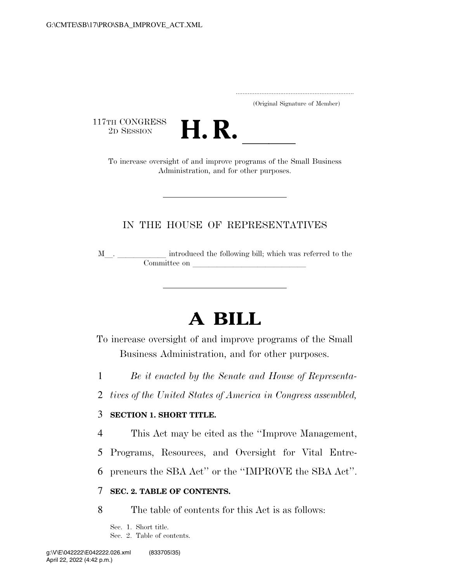..................................................................... (Original Signature of Member)

117TH CONGRESS<br>2D SESSION



TH CONGRESS<br>
2D SESSION<br>
To increase oversight of and improve programs of the Small Business Administration, and for other purposes.

## IN THE HOUSE OF REPRESENTATIVES

M\_\_. \_\_\_\_\_\_\_\_\_\_\_\_ introduced the following bill; which was referred to the Committee on leads on later was a set of the contract of the contract of the contract of the contract of the contract of the contract of the contract of the contract of the contract of the contract of the contract of the c

# **A BILL**

To increase oversight of and improve programs of the Small Business Administration, and for other purposes.

1 *Be it enacted by the Senate and House of Representa-*

2 *tives of the United States of America in Congress assembled,* 

## 3 **SECTION 1. SHORT TITLE.**

4 This Act may be cited as the ''Improve Management,

5 Programs, Resources, and Oversight for Vital Entre-

6 preneurs the SBA Act'' or the ''IMPROVE the SBA Act''.

## 7 **SEC. 2. TABLE OF CONTENTS.**

8 The table of contents for this Act is as follows:

Sec. 1. Short title. Sec. 2. Table of contents.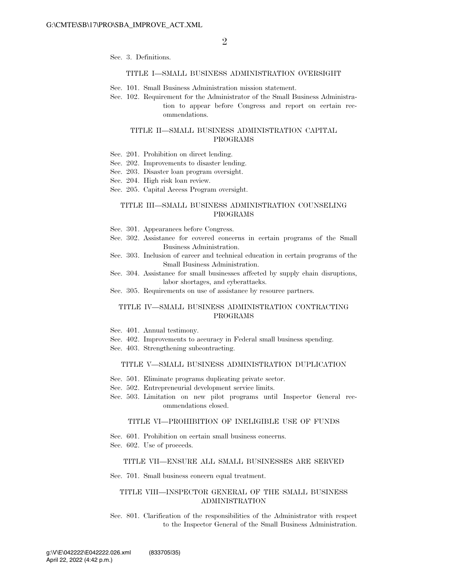Sec. 3. Definitions.

#### TITLE I—SMALL BUSINESS ADMINISTRATION OVERSIGHT

- Sec. 101. Small Business Administration mission statement.
- Sec. 102. Requirement for the Administrator of the Small Business Administration to appear before Congress and report on certain recommendations.

### TITLE II—SMALL BUSINESS ADMINISTRATION CAPITAL PROGRAMS

- Sec. 201. Prohibition on direct lending.
- Sec. 202. Improvements to disaster lending.
- Sec. 203. Disaster loan program oversight.
- Sec. 204. High risk loan review.
- Sec. 205. Capital Access Program oversight.

### TITLE III—SMALL BUSINESS ADMINISTRATION COUNSELING PROGRAMS

- Sec. 301. Appearances before Congress.
- Sec. 302. Assistance for covered concerns in certain programs of the Small Business Administration.
- Sec. 303. Inclusion of career and technical education in certain programs of the Small Business Administration.
- Sec. 304. Assistance for small businesses affected by supply chain disruptions, labor shortages, and cyberattacks.
- Sec. 305. Requirements on use of assistance by resource partners.

### TITLE IV—SMALL BUSINESS ADMINISTRATION CONTRACTING PROGRAMS

- Sec. 401. Annual testimony.
- Sec. 402. Improvements to accuracy in Federal small business spending.
- Sec. 403. Strengthening subcontracting.

### TITLE V—SMALL BUSINESS ADMINISTRATION DUPLICATION

- Sec. 501. Eliminate programs duplicating private sector.
- Sec. 502. Entrepreneurial development service limits.
- Sec. 503. Limitation on new pilot programs until Inspector General recommendations closed.

#### TITLE VI—PROHIBITION OF INELIGIBLE USE OF FUNDS

- Sec. 601. Prohibition on certain small business concerns.
- Sec. 602. Use of proceeds.

#### TITLE VII—ENSURE ALL SMALL BUSINESSES ARE SERVED

Sec. 701. Small business concern equal treatment.

### TITLE VIII—INSPECTOR GENERAL OF THE SMALL BUSINESS ADMINISTRATION

Sec. 801. Clarification of the responsibilities of the Administrator with respect to the Inspector General of the Small Business Administration.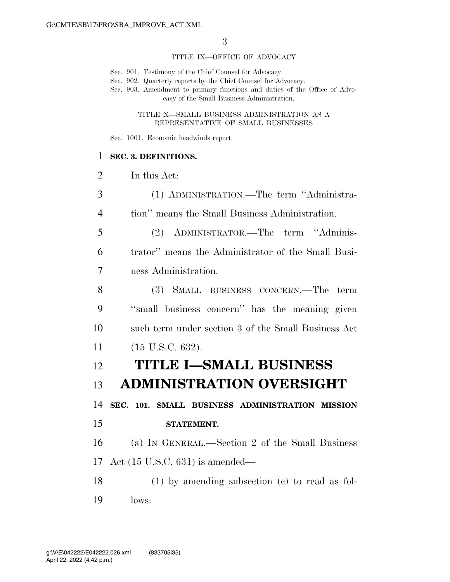### TITLE IX—OFFICE OF ADVOCACY

Sec. 901. Testimony of the Chief Counsel for Advocacy.

Sec. 902. Quarterly reports by the Chief Counsel for Advocacy.

Sec. 903. Amendment to primary functions and duties of the Office of Advocacy of the Small Business Administration.

> TITLE X—SMALL BUSINESS ADMINISTRATION AS A REPRESENTATIVE OF SMALL BUSINESSES

Sec. 1001. Economic headwinds report.

### **SEC. 3. DEFINITIONS.**

In this Act:

 (1) ADMINISTRATION.—The term ''Administra- tion'' means the Small Business Administration. (2) ADMINISTRATOR.—The term ''Adminis- trator'' means the Administrator of the Small Busi- ness Administration. (3) SMALL BUSINESS CONCERN.—The term ''small business concern'' has the meaning given such term under section 3 of the Small Business Act (15 U.S.C. 632). **TITLE I—SMALL BUSINESS ADMINISTRATION OVERSIGHT SEC. 101. SMALL BUSINESS ADMINISTRATION MISSION STATEMENT.**  (a) IN GENERAL.—Section 2 of the Small Business Act (15 U.S.C. 631) is amended— (1) by amending subsection (c) to read as fol-lows: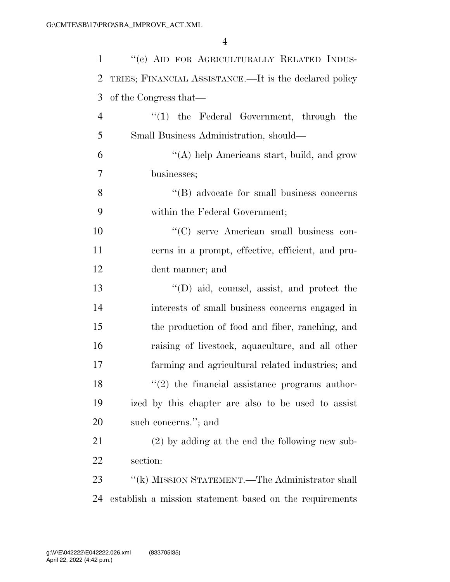| $\mathbf{1}$   | "(c) AID FOR AGRICULTURALLY RELATED INDUS-              |
|----------------|---------------------------------------------------------|
| $\overline{2}$ | TRIES; FINANCIAL ASSISTANCE.—It is the declared policy  |
| 3              | of the Congress that—                                   |
| $\overline{4}$ | $\lq(1)$ the Federal Government, through the            |
| 5              | Small Business Administration, should—                  |
| 6              | "(A) help Americans start, build, and grow              |
| 7              | businesses;                                             |
| 8              | "(B) advocate for small business concerns               |
| 9              | within the Federal Government;                          |
| 10             | "(C) serve American small business con-                 |
| 11             | cerns in a prompt, effective, efficient, and pru-       |
| 12             | dent manner; and                                        |
| 13             | $\lq\lq$ (D) aid, counsel, assist, and protect the      |
| 14             | interests of small business concerns engaged in         |
| 15             | the production of food and fiber, ranching, and         |
| 16             | raising of livestock, aquaculture, and all other        |
| 17             | farming and agricultural related industries; and        |
| 18             | $(2)$ the financial assistance programs author-         |
| 19             | ized by this chapter are also to be used to assist      |
| 20             | such concerns."; and                                    |
| 21             | $(2)$ by adding at the end the following new sub-       |
| 22             | section:                                                |
| 23             | "(k) MISSION STATEMENT.—The Administrator shall         |
| 24             | establish a mission statement based on the requirements |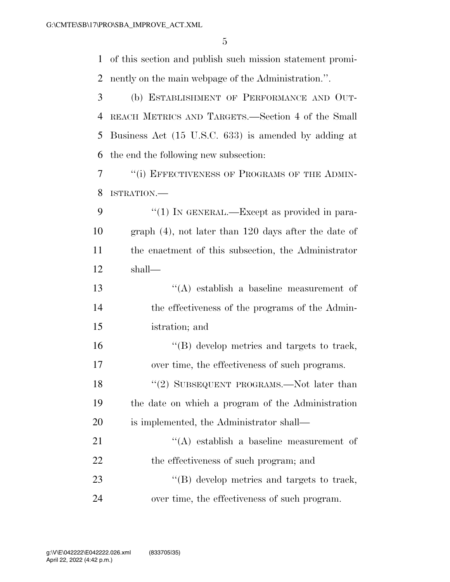of this section and publish such mission statement promi-nently on the main webpage of the Administration.''.

 (b) ESTABLISHMENT OF PERFORMANCE AND OUT- REACH METRICS AND TARGETS.—Section 4 of the Small Business Act (15 U.S.C. 633) is amended by adding at the end the following new subsection:

7 <sup>"</sup>(i) EFFECTIVENESS OF PROGRAMS OF THE ADMIN-ISTRATION.—

9 "(1) IN GENERAL.—Except as provided in para- graph (4), not later than 120 days after the date of the enactment of this subsection, the Administrator shall—

 ''(A) establish a baseline measurement of the effectiveness of the programs of the Admin-istration; and

 ''(B) develop metrics and targets to track, over time, the effectiveness of such programs.

18 "(2) SUBSEQUENT PROGRAMS.—Not later than the date on which a program of the Administration is implemented, the Administrator shall—

21 ''(A) establish a baseline measurement of 22 the effectiveness of such program; and 23  $\langle$  (B) develop metrics and targets to track, over time, the effectiveness of such program.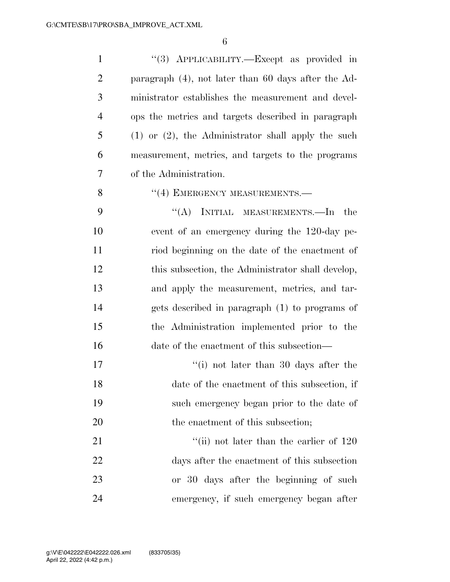| $\mathbf{1}$   | "(3) APPLICABILITY.—Except as provided in               |
|----------------|---------------------------------------------------------|
| $\overline{2}$ | paragraph $(4)$ , not later than 60 days after the Ad-  |
| 3              | ministrator establishes the measurement and devel-      |
| $\overline{4}$ | ops the metrics and targets described in paragraph      |
| 5              | $(1)$ or $(2)$ , the Administrator shall apply the such |
| 6              | measurement, metrics, and targets to the programs       |
| 7              | of the Administration.                                  |
| 8              | "(4) EMERGENCY MEASUREMENTS.—                           |
| 9              | "(A) INITIAL MEASUREMENTS.—In<br>the                    |
| 10             | event of an emergency during the 120-day pe-            |
| 11             | riod beginning on the date of the enactment of          |
| 12             | this subsection, the Administrator shall develop,       |
| 13             | and apply the measurement, metrics, and tar-            |
| 14             | gets described in paragraph (1) to programs of          |
| 15             | the Administration implemented prior to the             |
| 16             | date of the enactment of this subsection—               |
| 17             | $\lq\lq$ (i) not later than 30 days after the           |
| 18             | date of the enactment of this subsection, if            |
| 19             | such emergency began prior to the date of               |
| 20             | the enactment of this subsection;                       |
| 21             | "(ii) not later than the earlier of $120$               |
| 22             | days after the enactment of this subsection             |
| 23             | or 30 days after the beginning of such                  |
| 24             | emergency, if such emergency began after                |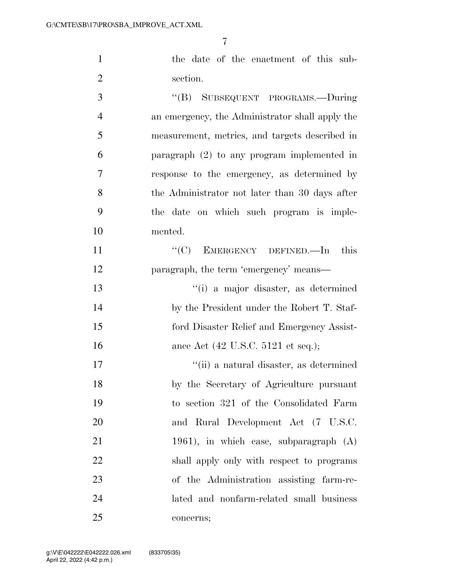the date of the enactment of this sub-section.

 ''(B) SUBSEQUENT PROGRAMS.—During an emergency, the Administrator shall apply the measurement, metrics, and targets described in paragraph (2) to any program implemented in response to the emergency, as determined by the Administrator not later than 30 days after the date on which such program is imple- mented. 11 "'(C) EMERGENCY DEFINED.—In this paragraph, the term 'emergency' means—

 ''(i) a major disaster, as determined by the President under the Robert T. Staf- ford Disaster Relief and Emergency Assist-16 ance Act (42 U.S.C. 5121 et seq.);

 ''(ii) a natural disaster, as determined by the Secretary of Agriculture pursuant to section 321 of the Consolidated Farm and Rural Development Act (7 U.S.C. 1961), in which case, subparagraph (A) shall apply only with respect to programs of the Administration assisting farm-re- lated and nonfarm-related small business concerns;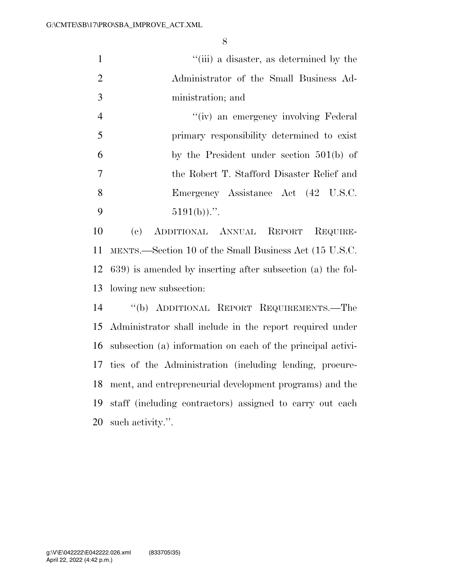| $\mathbf{1}$   | "(iii) a disaster, as determined by the                            |
|----------------|--------------------------------------------------------------------|
| $\overline{2}$ | Administrator of the Small Business Ad-                            |
| 3              | ministration; and                                                  |
| $\overline{4}$ | "(iv) an emergency involving Federal                               |
| 5              | primary responsibility determined to exist                         |
| 6              | by the President under section $501(b)$ of                         |
| $\overline{7}$ | the Robert T. Stafford Disaster Relief and                         |
| 8              | Emergency Assistance Act (42 U.S.C.                                |
| 9              | $5191(b)$ .".                                                      |
| 10             | ADDITIONAL ANNUAL REPORT<br>$\left( \mathrm{e}\right)$<br>REQUIRE- |
| 11             | MENTS.—Section 10 of the Small Business Act (15 U.S.C.             |
| 12             | 639) is amended by inserting after subsection (a) the fol-         |
| 13             | lowing new subsection:                                             |
| 14             | "(b) ADDITIONAL REPORT REQUIREMENTS.—The                           |
| 15             | Administrator shall include in the report required under           |
| 16             | subsection (a) information on each of the principal activi-        |
| 17             | ties of the Administration (including lending, procure-            |
| 18             | ment, and entrepreneurial development programs) and the            |
| 19             | staff (including contractors) assigned to carry out each           |

such activity.''.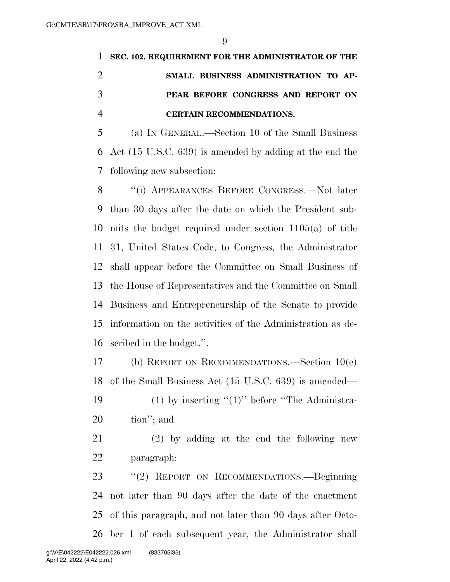|               | 1 SEC. 102. REQUIREMENT FOR THE ADMINISTRATOR OF THE |
|---------------|------------------------------------------------------|
|               | SMALL BUSINESS ADMINISTRATION TO AP-                 |
| $\mathcal{R}$ | PEAR BEFORE CONGRESS AND REPORT ON                   |
|               | <b>CERTAIN RECOMMENDATIONS.</b>                      |

 (a) IN GENERAL.—Section 10 of the Small Business Act (15 U.S.C. 639) is amended by adding at the end the following new subsection:

 ''(i) APPEARANCES BEFORE CONGRESS.—Not later than 30 days after the date on which the President sub- mits the budget required under section 1105(a) of title 31, United States Code, to Congress, the Administrator shall appear before the Committee on Small Business of the House of Representatives and the Committee on Small Business and Entrepreneurship of the Senate to provide information on the activities of the Administration as de-scribed in the budget.''.

 (b) REPORT ON RECOMMENDATIONS.—Section 10(e) of the Small Business Act (15 U.S.C. 639) is amended—

19 (1) by inserting  $(1)$ " before "The Administra-tion''; and

 (2) by adding at the end the following new paragraph:

 ''(2) REPORT ON RECOMMENDATIONS.—Beginning not later than 90 days after the date of the enactment of this paragraph, and not later than 90 days after Octo-ber 1 of each subsequent year, the Administrator shall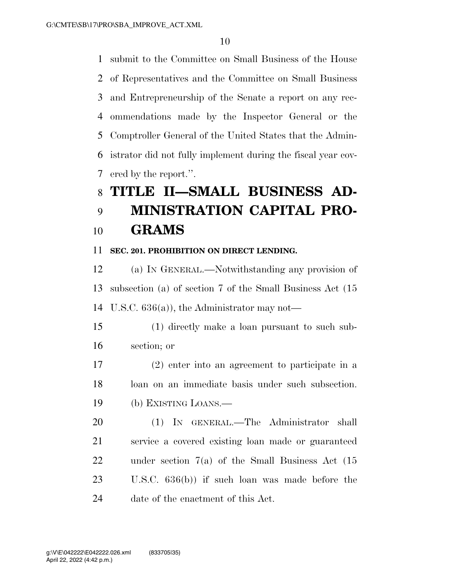submit to the Committee on Small Business of the House of Representatives and the Committee on Small Business and Entrepreneurship of the Senate a report on any rec- ommendations made by the Inspector General or the Comptroller General of the United States that the Admin- istrator did not fully implement during the fiscal year cov-ered by the report.''.

# **TITLE II—SMALL BUSINESS AD-**

# **MINISTRATION CAPITAL PRO-GRAMS**

## **SEC. 201. PROHIBITION ON DIRECT LENDING.**

 (a) IN GENERAL.—Notwithstanding any provision of subsection (a) of section 7 of the Small Business Act (15 U.S.C. 636(a)), the Administrator may not—

 (1) directly make a loan pursuant to such sub-section; or

 (2) enter into an agreement to participate in a loan on an immediate basis under such subsection. (b) EXISTING LOANS.—

 (1) IN GENERAL.—The Administrator shall service a covered existing loan made or guaranteed under section 7(a) of the Small Business Act (15 U.S.C. 636(b)) if such loan was made before the date of the enactment of this Act.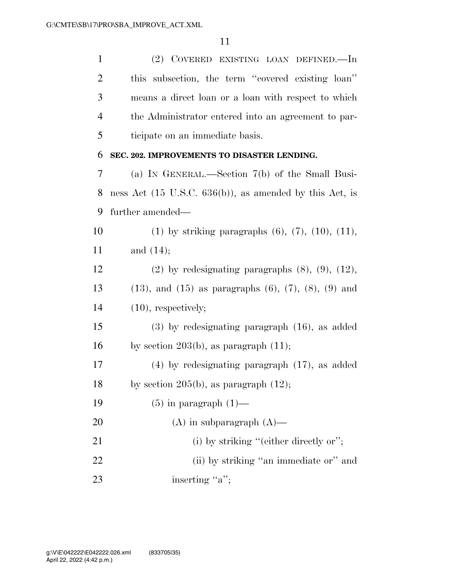| $\mathbf{1}$ | (2) COVERED EXISTING LOAN DEFINED.—In                               |
|--------------|---------------------------------------------------------------------|
| 2            | this subsection, the term "covered existing loan"                   |
| 3            | means a direct loan or a loan with respect to which                 |
| 4            | the Administrator entered into an agreement to par-                 |
| 5            | ticipate on an immediate basis.                                     |
| 6            | SEC. 202. IMPROVEMENTS TO DISASTER LENDING.                         |
| 7            | (a) IN GENERAL.—Section 7(b) of the Small Busi-                     |
| 8            | ness Act $(15 \text{ U.S.C. } 636(b))$ , as amended by this Act, is |
| 9            | further amended—                                                    |
| 10           | (1) by striking paragraphs $(6)$ , $(7)$ , $(10)$ , $(11)$ ,        |
| 11           | and $(14)$ ;                                                        |
| 12           | $(2)$ by redesignating paragraphs $(8)$ , $(9)$ , $(12)$ ,          |
| 13           | $(13)$ , and $(15)$ as paragraphs $(6)$ , $(7)$ , $(8)$ , $(9)$ and |
| 14           | $(10)$ , respectively;                                              |
| 15           | $(3)$ by redesignating paragraph $(16)$ , as added                  |
| 16           | by section 203(b), as paragraph $(11)$ ;                            |
| 17           | $(4)$ by redesignating paragraph $(17)$ , as added                  |
| 18           | by section 205(b), as paragraph $(12)$ ;                            |
| 19           | $(5)$ in paragraph $(1)$ —                                          |
| 20           | $(A)$ in subparagraph $(A)$ —                                       |
| 21           | (i) by striking "(either directly or";                              |
| 22           | (ii) by striking "an immediate or" and                              |
| 23           | inserting "a";                                                      |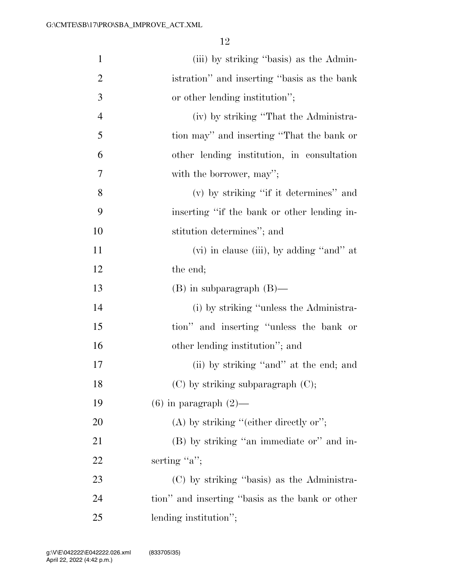| $\mathbf{1}$   | (iii) by striking "basis) as the Admin-         |
|----------------|-------------------------------------------------|
| $\overline{2}$ | istration" and inserting "basis as the bank"    |
| 3              | or other lending institution";                  |
| $\overline{4}$ | (iv) by striking "That the Administra-          |
| 5              | tion may" and inserting "That the bank or       |
| 6              | other lending institution, in consultation      |
| 7              | with the borrower, may";                        |
| 8              | (v) by striking "if it determines" and          |
| 9              | inserting "if the bank or other lending in-     |
| 10             | stitution determines"; and                      |
| 11             | (vi) in clause (iii), by adding "and" at        |
| 12             | the end;                                        |
| 13             | $(B)$ in subparagraph $(B)$ —                   |
| 14             | (i) by striking "unless the Administra-         |
| 15             | tion" and inserting "unless the bank or         |
| 16             | other lending institution"; and                 |
| 17             | (ii) by striking "and" at the end; and          |
| 18             | $(C)$ by striking subparagraph $(C)$ ;          |
| 19             | $(6)$ in paragraph $(2)$ —                      |
| 20             | $(A)$ by striking "(either directly or";        |
| 21             | (B) by striking "an immediate or" and in-       |
| 22             | serting " $a$ ";                                |
| 23             | (C) by striking "basis) as the Administra-      |
| 24             | tion" and inserting "basis as the bank or other |
| 25             | lending institution";                           |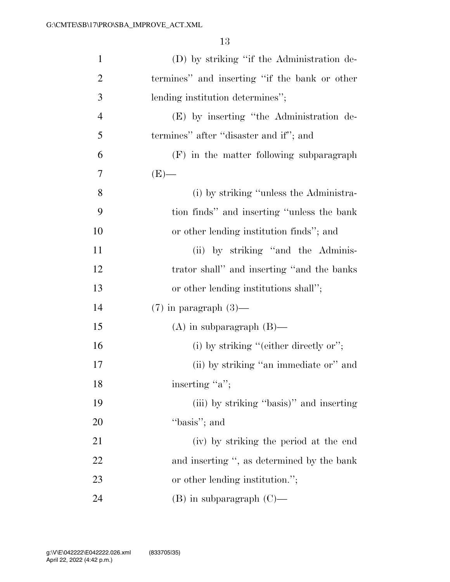| $\mathbf{1}$   | (D) by striking "if the Administration de-    |
|----------------|-----------------------------------------------|
| $\overline{2}$ | termines" and inserting "if the bank or other |
| 3              | lending institution determines";              |
| $\overline{4}$ | (E) by inserting "the Administration de-      |
| 5              | termines" after "disaster and if"; and        |
| 6              | $(F)$ in the matter following subparagraph    |
| 7              | $(E)$ —                                       |
| 8              | (i) by striking "unless the Administra-       |
| 9              | tion finds" and inserting "unless the bank"   |
| 10             | or other lending institution finds"; and      |
| 11             | (ii) by striking "and the Adminis-            |
| 12             | trator shall" and inserting "and the banks    |
| 13             | or other lending institutions shall";         |
| 14             | $(7)$ in paragraph $(3)$ —                    |
| 15             | $(A)$ in subparagraph $(B)$ —                 |
| 16             | (i) by striking "(either directly or";        |
| 17             | (ii) by striking "an immediate or" and        |
| 18             | inserting "a";                                |
| 19             | (iii) by striking "basis)" and inserting      |
| 20             | "basis"; and                                  |
| 21             | (iv) by striking the period at the end        |
| 22             | and inserting ", as determined by the bank    |
| 23             | or other lending institution.";               |
| 24             | $(B)$ in subparagraph $(C)$ —                 |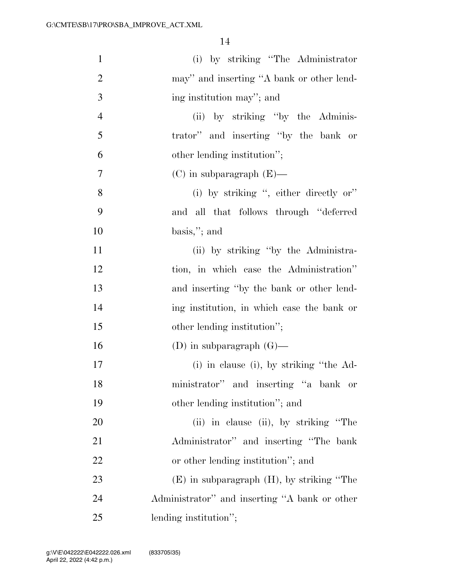| $\mathbf{1}$   | (i) by striking "The Administrator"            |
|----------------|------------------------------------------------|
| $\overline{2}$ | may" and inserting "A bank or other lend-      |
| 3              | ing institution may"; and                      |
| $\overline{4}$ | (ii) by striking "by the Adminis-              |
| 5              | trator" and inserting "by the bank or          |
| 6              | other lending institution";                    |
| $\overline{7}$ | $(C)$ in subparagraph $(E)$ —                  |
| 8              | (i) by striking ", either directly or"         |
| 9              | and all that follows through "deferred         |
| 10             | $basis,$ "; and                                |
| 11             | (ii) by striking "by the Administra-           |
| 12             | tion, in which case the Administration"        |
| 13             | and inserting "by the bank or other lend-      |
| 14             | ing institution, in which case the bank or     |
| 15             | other lending institution";                    |
| 16             | (D) in subparagraph $(G)$ —                    |
| 17             | (i) in clause (i), by striking "the Ad-        |
| 18             | ministrator" and inserting "a bank or          |
| 19             | other lending institution"; and                |
| 20             | (ii) in clause (ii), by striking "The          |
| 21             | Administrator" and inserting "The bank         |
| 22             | or other lending institution"; and             |
| 23             | $(E)$ in subparagraph $(H)$ , by striking "The |
| 24             | Administrator" and inserting "A bank or other  |
| 25             | lending institution";                          |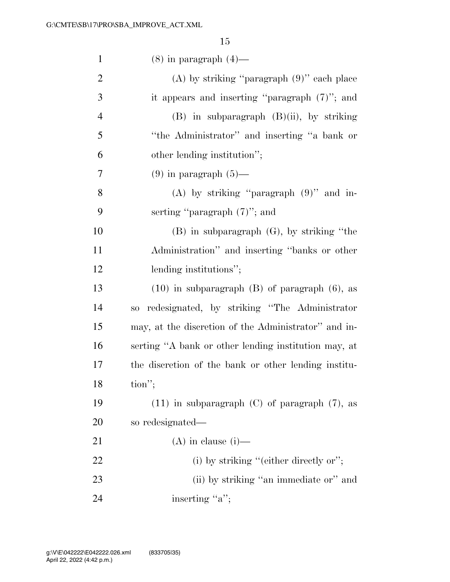| $\mathbf{1}$   | $(8)$ in paragraph $(4)$ —                           |
|----------------|------------------------------------------------------|
| $\overline{2}$ | $(A)$ by striking "paragraph $(9)$ " each place      |
| 3              | it appears and inserting "paragraph $(7)$ "; and     |
| $\overline{4}$ | $(B)$ in subparagraph $(B)(ii)$ , by striking        |
| 5              | "the Administrator" and inserting "a bank or         |
| 6              | other lending institution";                          |
| 7              | $(9)$ in paragraph $(5)$ —                           |
| 8              | (A) by striking "paragraph $(9)$ " and in-           |
| 9              | serting "paragraph $(7)$ "; and                      |
| 10             | $(B)$ in subparagraph $(G)$ , by striking "the       |
| 11             | Administration" and inserting "banks or other        |
| 12             | lending institutions";                               |
| 13             | $(10)$ in subparagraph $(B)$ of paragraph $(6)$ , as |
| 14             | redesignated, by striking "The Administrator"<br>SO  |
| 15             | may, at the discretion of the Administrator" and in- |
| 16             | serting "A bank or other lending institution may, at |
| 17             | the discretion of the bank or other lending institu- |
| 18             | tion";                                               |
| 19             | $(11)$ in subparagraph $(C)$ of paragraph $(7)$ , as |
| 20             | so redesignated—                                     |
| 21             | $(A)$ in clause (i)—                                 |
| 22             | (i) by striking "(either directly or";               |
| 23             | (ii) by striking "an immediate or" and               |
| 24             | inserting "a";                                       |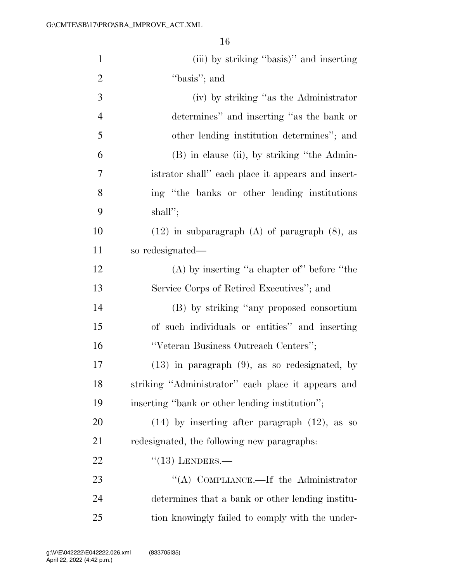| $\mathbf{1}$   | (iii) by striking "basis)" and inserting             |
|----------------|------------------------------------------------------|
| $\overline{2}$ | "basis"; and                                         |
| 3              | (iv) by striking "as the Administrator               |
| $\overline{4}$ | determines" and inserting "as the bank or            |
| 5              | other lending institution determines"; and           |
| 6              | (B) in clause (ii), by striking "the Admin-          |
| 7              | istrator shall" each place it appears and insert-    |
| 8              | ing "the banks or other lending institutions"        |
| 9              | $shall$ ";                                           |
| 10             | $(12)$ in subparagraph $(A)$ of paragraph $(8)$ , as |
| 11             | so redesignated—                                     |
| 12             | $(A)$ by inserting "a chapter of" before "the        |
| 13             | Service Corps of Retired Executives"; and            |
| 14             | (B) by striking "any proposed consortium             |
| 15             | of such individuals or entities" and inserting       |
| 16             | "Veteran Business Outreach Centers";                 |
| 17             | $(13)$ in paragraph $(9)$ , as so redesignated, by   |
| 18             | striking "Administrator" each place it appears and   |
| 19             | inserting "bank or other lending institution";       |
| 20             | $(14)$ by inserting after paragraph $(12)$ , as so   |
| 21             | redesignated, the following new paragraphs:          |
| 22             | $\cdot$ (13) LENDERS.—                               |
| 23             | "(A) COMPLIANCE.—If the Administrator                |
| 24             | determines that a bank or other lending institu-     |
| 25             | tion knowingly failed to comply with the under-      |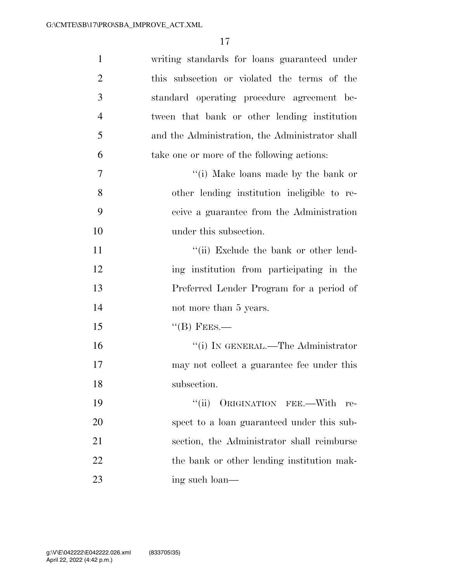| $\mathbf{1}$   | writing standards for loans guaranteed under    |
|----------------|-------------------------------------------------|
| $\overline{2}$ | this subsection or violated the terms of the    |
| 3              | standard operating procedure agreement be-      |
| $\overline{4}$ | tween that bank or other lending institution    |
| 5              | and the Administration, the Administrator shall |
| 6              | take one or more of the following actions:      |
| 7              | "(i) Make loans made by the bank or             |
| 8              | other lending institution ineligible to re-     |
| 9              | ceive a guarantee from the Administration       |
| 10             | under this subsection.                          |
| 11             | "(ii) Exclude the bank or other lend-           |
| 12             | ing institution from participating in the       |
| 13             | Preferred Lender Program for a period of        |
| 14             | not more than 5 years.                          |
| 15             | $\lq$ <sup>"</sup> (B) FEES.—                   |
| 16             | "(i) IN GENERAL.—The Administrator              |
| 17             | may not collect a guarantee fee under this      |
| 18             | subsection.                                     |
| 19             | ``(ii)<br>ORIGINATION FEE.-With<br>re-          |
| 20             | spect to a loan guaranteed under this sub-      |
| 21             | section, the Administrator shall reimburse      |
| 22             | the bank or other lending institution mak-      |
| 23             | ing such loan—                                  |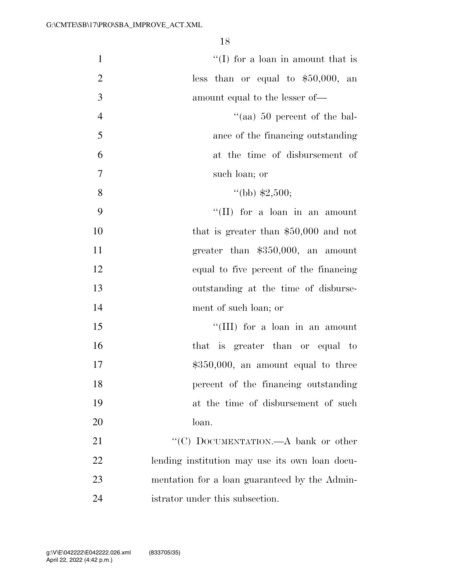| $\mathbf{1}$   | $\lq\lq$ (I) for a loan in amount that is      |
|----------------|------------------------------------------------|
| $\overline{2}$ | less than or equal to $$50,000$ , an           |
| 3              | amount equal to the lesser of—                 |
| $\overline{4}$ | "(aa) $50$ percent of the bal-                 |
| 5              | ance of the financing outstanding              |
| 6              | at the time of disbursement of                 |
| 7              | such loan; or                                  |
| 8              | "(bb) $$2,500;$                                |
| 9              | $\lq\lq$ (II) for a loan in an amount          |
| 10             | that is greater than $$50,000$ and not         |
| 11             | greater than $$350,000$ , an amount            |
| 12             | equal to five percent of the financing         |
| 13             | outstanding at the time of disburse-           |
| 14             | ment of such loan; or                          |
| 15             | "(III) for a loan in an amount                 |
| 16             | that is greater than or equal to               |
| 17             | $$350,000$ , an amount equal to three          |
| 18             | percent of the financing outstanding           |
| 19             | at the time of disbursement of such            |
| 20             | loan.                                          |
| 21             | "(C) DOCUMENTATION.—A bank or other            |
| 22             | lending institution may use its own loan docu- |
| 23             | mentation for a loan guaranteed by the Admin-  |
| 24             | istrator under this subsection.                |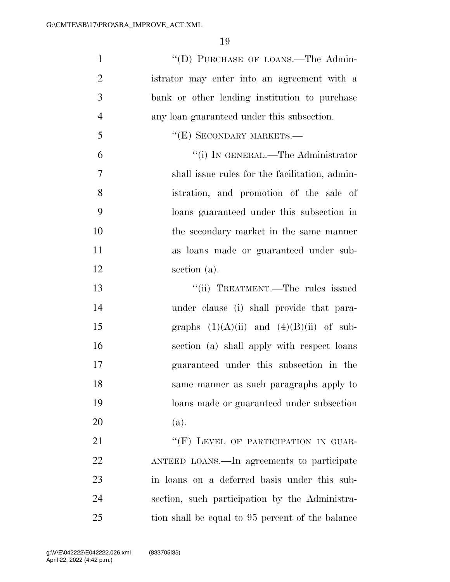| $\mathbf{1}$   | "(D) PURCHASE OF LOANS.—The Admin-               |
|----------------|--------------------------------------------------|
| $\overline{2}$ | istrator may enter into an agreement with a      |
| 3              | bank or other lending institution to purchase    |
| $\overline{4}$ | any loan guaranteed under this subsection.       |
| 5              | "(E) SECONDARY MARKETS.-                         |
| 6              | "(i) IN GENERAL.—The Administrator               |
| $\overline{7}$ | shall issue rules for the facilitation, admin-   |
| 8              | istration, and promotion of the sale of          |
| 9              | loans guaranteed under this subsection in        |
| 10             | the secondary market in the same manner          |
| 11             | as loans made or guaranteed under sub-           |
| 12             | section (a).                                     |
| 13             | "(ii) TREATMENT.—The rules issued                |
| 14             | under clause (i) shall provide that para-        |
| 15             | graphs $(1)(A)(ii)$ and $(4)(B)(ii)$ of sub-     |
| 16             | section (a) shall apply with respect loans       |
| 17             | guaranteed under this subsection in the          |
| 18             | same manner as such paragraphs apply to          |
| 19             | loans made or guaranteed under subsection        |
| 20             | (a).                                             |
| 21             | "(F) LEVEL OF PARTICIPATION IN GUAR-             |
| 22             | ANTEED LOANS.—In agreements to participate       |
| 23             | in loans on a deferred basis under this sub-     |
| 24             | section, such participation by the Administra-   |
| 25             | tion shall be equal to 95 percent of the balance |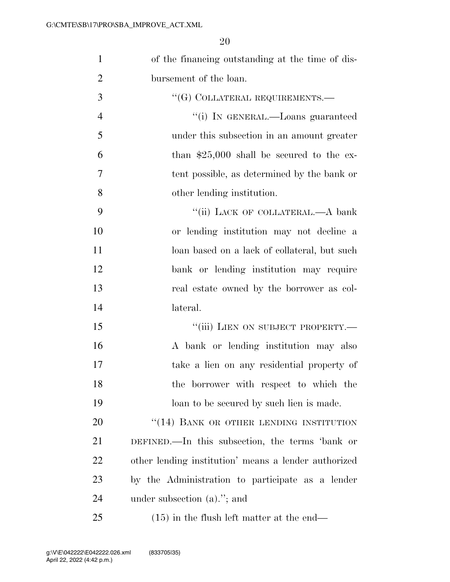| $\mathbf{1}$   | of the financing outstanding at the time of dis-     |
|----------------|------------------------------------------------------|
| $\overline{2}$ | bursement of the loan.                               |
| 3              | "(G) COLLATERAL REQUIREMENTS.—                       |
| $\overline{4}$ | "(i) IN GENERAL.—Loans guaranteed                    |
| 5              | under this subsection in an amount greater           |
| 6              | than $$25,000$ shall be secured to the ex-           |
| 7              | tent possible, as determined by the bank or          |
| 8              | other lending institution.                           |
| 9              | "(ii) LACK OF COLLATERAL.—A bank                     |
| 10             | or lending institution may not decline a             |
| 11             | loan based on a lack of collateral, but such         |
| 12             | bank or lending institution may require              |
| 13             | real estate owned by the borrower as col-            |
| 14             | lateral.                                             |
| 15             | "(iii) LIEN ON SUBJECT PROPERTY.-                    |
| 16             | A bank or lending institution may also               |
| 17             | take a lien on any residential property of           |
| 18             | the borrower with respect to which the               |
| 19             | loan to be secured by such lien is made.             |
| 20             | "(14) BANK OR OTHER LENDING INSTITUTION              |
| 21             | DEFINED.—In this subsection, the terms 'bank or      |
| 22             | other lending institution' means a lender authorized |
| 23             | by the Administration to participate as a lender     |
| 24             | under subsection $(a)$ ."; and                       |
| 25             | $(15)$ in the flush left matter at the end—          |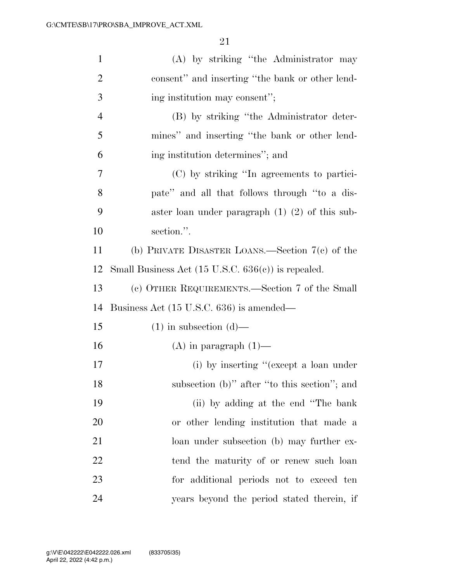| $\mathbf{1}$   | (A) by striking "the Administrator may                        |
|----------------|---------------------------------------------------------------|
| $\overline{2}$ | consent" and inserting "the bank or other lend-               |
| 3              | ing institution may consent";                                 |
| $\overline{4}$ | (B) by striking "the Administrator deter-                     |
| 5              | mines" and inserting "the bank or other lend-                 |
| 6              | ing institution determines"; and                              |
| 7              | (C) by striking "In agreements to partici-                    |
| 8              | pate" and all that follows through "to a dis-                 |
| 9              | aster loan under paragraph $(1)$ $(2)$ of this sub-           |
| 10             | section.".                                                    |
| 11             | (b) PRIVATE DISASTER LOANS.—Section $7(c)$ of the             |
| 12             | Small Business Act $(15 \text{ U.S.C. } 636(c))$ is repealed. |
| 13             | (c) OTHER REQUIREMENTS.—Section 7 of the Small                |
| 14             | Business Act (15 U.S.C. 636) is amended—                      |
| 15             | $(1)$ in subsection $(d)$ —                                   |
| 16             | $(A)$ in paragraph $(1)$ —                                    |
| 17             | (i) by inserting "(except a loan under                        |
| 18             | subsection (b)" after "to this section"; and                  |
| 19             | (ii) by adding at the end "The bank"                          |
| 20             | or other lending institution that made a                      |
| 21             | loan under subsection (b) may further ex-                     |
| 22             | tend the maturity of or renew such loan                       |
| 23             | for additional periods not to exceed ten                      |
| 24             | years beyond the period stated therein, if                    |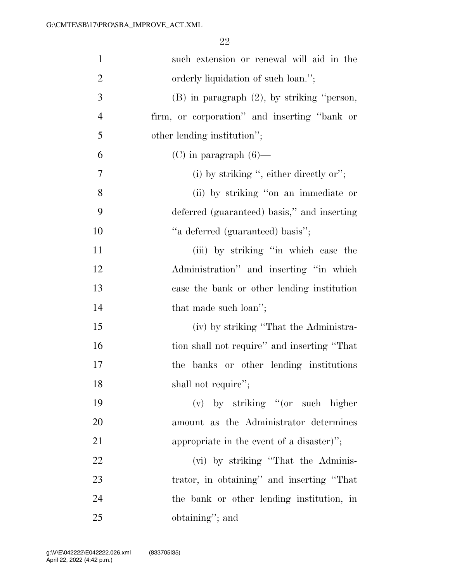| $\mathbf{1}$   | such extension or renewal will aid in the       |
|----------------|-------------------------------------------------|
| $\overline{2}$ | orderly liquidation of such loan.";             |
| 3              | $(B)$ in paragraph $(2)$ , by striking "person, |
| $\overline{4}$ | firm, or corporation" and inserting "bank or    |
| 5              | other lending institution";                     |
| 6              | $(C)$ in paragraph $(6)$ —                      |
| 7              | (i) by striking ", either directly or";         |
| 8              | (ii) by striking "on an immediate or            |
| 9              | deferred (guaranteed) basis," and inserting     |
| 10             | "a deferred (guaranteed) basis";                |
| 11             | (iii) by striking "in which case the            |
| 12             | Administration" and inserting "in which         |
| 13             | case the bank or other lending institution      |
| 14             | that made such loan";                           |
| 15             | (iv) by striking "That the Administra-          |
| 16             | tion shall not require" and inserting "That     |
| 17             | banks or other lending institutions<br>the      |
| 18             | shall not require";                             |
| 19             | $(v)$ by striking "(or such higher              |
| 20             | amount as the Administrator determines          |
| 21             | appropriate in the event of a disaster)";       |
| 22             | (vi) by striking "That the Adminis-             |
| 23             | trator, in obtaining" and inserting "That       |
| 24             | the bank or other lending institution, in       |
| 25             | obtaining"; and                                 |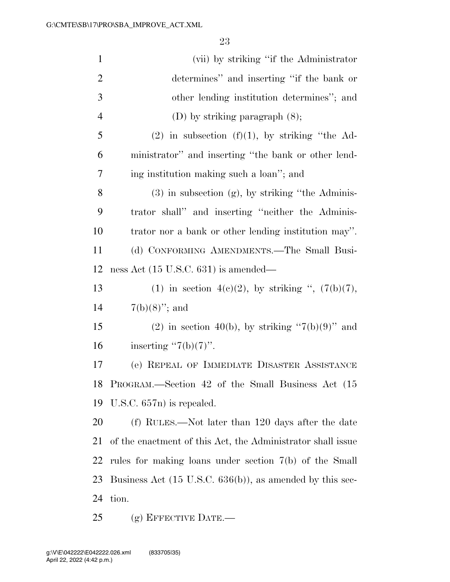| (vii) by striking "if the Administrator"                             |
|----------------------------------------------------------------------|
| determines" and inserting "if the bank or                            |
| other lending institution determines"; and                           |
| (D) by striking paragraph $(8)$ ;                                    |
| $(2)$ in subsection $(f)(1)$ , by striking "the Ad-                  |
| ministrator" and inserting "the bank or other lend-                  |
| ing institution making such a loan"; and                             |
| $(3)$ in subsection $(g)$ , by striking "the Adminis-                |
| trator shall" and inserting "neither the Adminis-                    |
| trator nor a bank or other lending institution may".                 |
| (d) CONFORMING AMENDMENTS.—The Small Busi-                           |
| ness Act (15 U.S.C. 631) is amended—                                 |
| (1) in section 4(c)(2), by striking ", $(7(b)(7))$ ,                 |
| $7(b)(8)$ "; and                                                     |
| (2) in section 40(b), by striking " $7(b)(9)$ " and                  |
| inserting "7(b)(7)".                                                 |
| (e) REPEAL OF IMMEDIATE DISASTER ASSISTANCE                          |
| PROGRAM.—Section 42 of the Small Business Act (15                    |
| U.S.C. $657n$ is repealed.                                           |
| (f) RULES.—Not later than 120 days after the date                    |
| of the enactment of this Act, the Administrator shall issue          |
| rules for making loans under section $7(b)$ of the Small             |
| Business Act $(15 \text{ U.S.C. } 636(b))$ , as amended by this sec- |
| tion.                                                                |
|                                                                      |

(g) EFFECTIVE DATE.—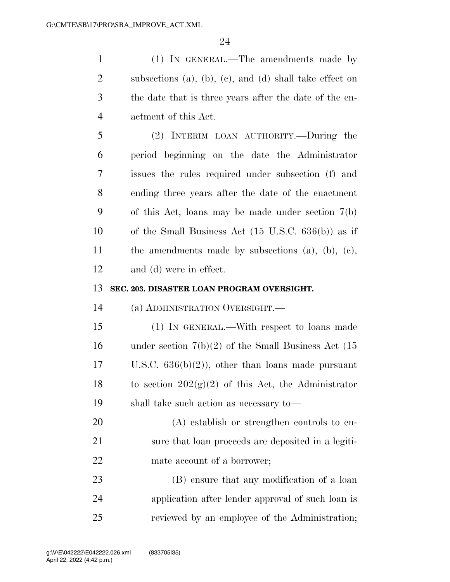(1) IN GENERAL.—The amendments made by subsections (a), (b), (c), and (d) shall take effect on the date that is three years after the date of the en-actment of this Act.

 (2) INTERIM LOAN AUTHORITY.—During the period beginning on the date the Administrator issues the rules required under subsection (f) and ending three years after the date of the enactment of this Act, loans may be made under section 7(b) of the Small Business Act (15 U.S.C. 636(b)) as if the amendments made by subsections (a), (b), (c), and (d) were in effect.

## **SEC. 203. DISASTER LOAN PROGRAM OVERSIGHT.**

(a) ADMINISTRATION OVERSIGHT.—

 (1) IN GENERAL.—With respect to loans made under section 7(b)(2) of the Small Business Act (15 U.S.C. 636(b)(2)), other than loans made pursuant 18 to section  $202(g)(2)$  of this Act, the Administrator shall take such action as necessary to—

 (A) establish or strengthen controls to en- sure that loan proceeds are deposited in a legiti-mate account of a borrower;

 (B) ensure that any modification of a loan application after lender approval of such loan is reviewed by an employee of the Administration;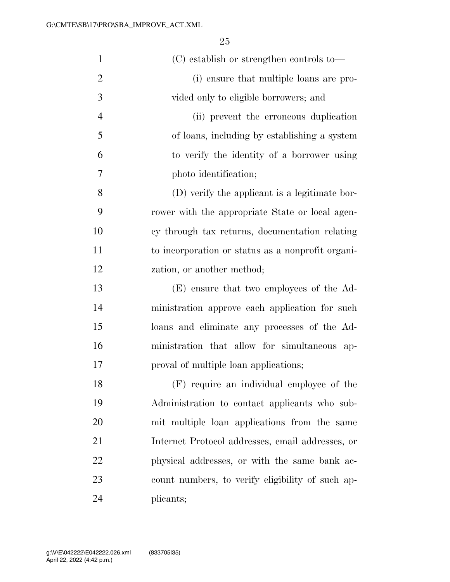| $\mathbf{1}$   | (C) establish or strengthen controls to—          |
|----------------|---------------------------------------------------|
| $\overline{2}$ | (i) ensure that multiple loans are pro-           |
| 3              | vided only to eligible borrowers; and             |
| $\overline{4}$ | (ii) prevent the erroneous duplication            |
| 5              | of loans, including by establishing a system      |
| 6              | to verify the identity of a borrower using        |
| 7              | photo identification;                             |
| 8              | (D) verify the applicant is a legitimate bor-     |
| 9              | rower with the appropriate State or local agen-   |
| 10             | cy through tax returns, documentation relating    |
| 11             | to incorporation or status as a nonprofit organi- |
| 12             | zation, or another method;                        |
| 13             | (E) ensure that two employees of the Ad-          |
| 14             | ministration approve each application for such    |
| 15             | loans and eliminate any processes of the Ad-      |
| 16             | ministration that allow for simultaneous ap-      |
| 17             | proval of multiple loan applications;             |
| 18             | (F) require an individual employee of the         |
| 19             | Administration to contact applicants who sub-     |
| 20             | mit multiple loan applications from the same      |
| 21             | Internet Protocol addresses, email addresses, or  |
| 22             | physical addresses, or with the same bank ac-     |
| 23             | count numbers, to verify eligibility of such ap-  |
| 24             | plicants;                                         |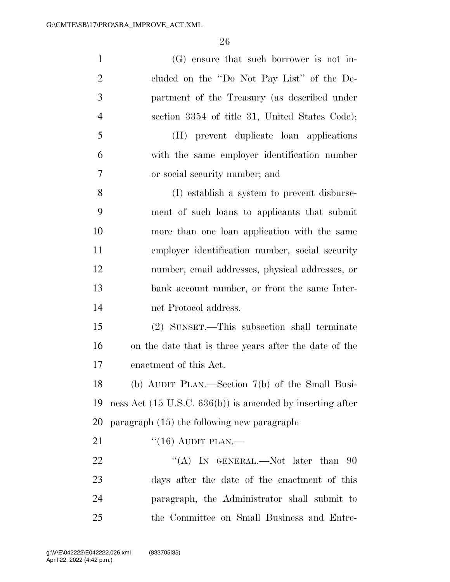| $\mathbf{1}$   | (G) ensure that such borrower is not in-                             |
|----------------|----------------------------------------------------------------------|
| $\overline{2}$ | cluded on the "Do Not Pay List" of the De-                           |
| 3              | partment of the Treasury (as described under                         |
| $\overline{4}$ | section 3354 of title 31, United States Code);                       |
| 5              | (H) prevent duplicate loan applications                              |
| 6              | with the same employer identification number                         |
| 7              | or social security number; and                                       |
| 8              | (I) establish a system to prevent disburse-                          |
| 9              | ment of such loans to applicants that submit                         |
| 10             | more than one loan application with the same                         |
| 11             | employer identification number, social security                      |
| 12             | number, email addresses, physical addresses, or                      |
| 13             | bank account number, or from the same Inter-                         |
| 14             | net Protocol address.                                                |
| 15             | (2) SUNSET.—This subsection shall terminate                          |
| 16             | on the date that is three years after the date of the                |
| 17             | enactment of this Act.                                               |
| 18             | (b) AUDIT PLAN.—Section $7(b)$ of the Small Busi-                    |
| 19             | ness Act $(15 \text{ U.S.C. } 636(b))$ is amended by inserting after |
| 20             | paragraph (15) the following new paragraph.                          |
| 21             | $``(16)$ AUDIT PLAN.—                                                |
| 22             | "(A) IN GENERAL.—Not later than $90$                                 |
| 23             | days after the date of the enactment of this                         |
| 24             | paragraph, the Administrator shall submit to                         |
| 25             | the Committee on Small Business and Entre-                           |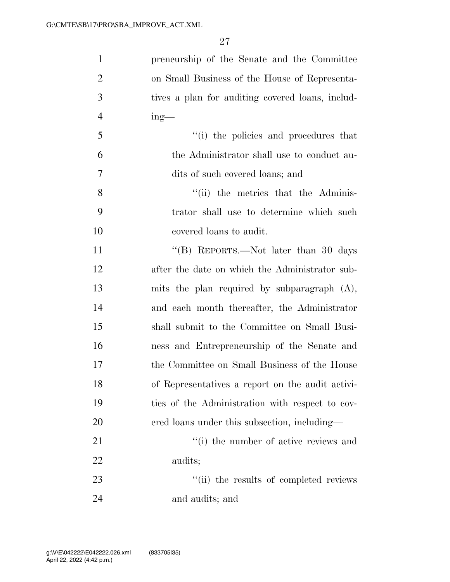| $\mathbf{1}$   | preneurship of the Senate and the Committee      |
|----------------|--------------------------------------------------|
| $\overline{2}$ | on Small Business of the House of Representa-    |
| 3              | tives a plan for auditing covered loans, includ- |
| $\overline{4}$ | $ing$ —                                          |
| 5              | "(i) the policies and procedures that            |
| 6              | the Administrator shall use to conduct au-       |
| 7              | dits of such covered loans; and                  |
| 8              | "(ii) the metrics that the Adminis-              |
| 9              | trator shall use to determine which such         |
| 10             | covered loans to audit.                          |
| 11             | "(B) REPORTS.—Not later than 30 days             |
| 12             | after the date on which the Administrator sub-   |
| 13             | mits the plan required by subparagraph $(A)$ ,   |
| 14             | and each month thereafter, the Administrator     |
| 15             | shall submit to the Committee on Small Busi-     |
| 16             | ness and Entrepreneurship of the Senate and      |
| 17             | the Committee on Small Business of the House     |
| 18             | of Representatives a report on the audit activi- |
| 19             | ties of the Administration with respect to cov-  |
| 20             | ered loans under this subsection, including—     |
| 21             | "(i) the number of active reviews and            |
| 22             | audits;                                          |
| 23             | "(ii) the results of completed reviews           |
| 24             | and audits; and                                  |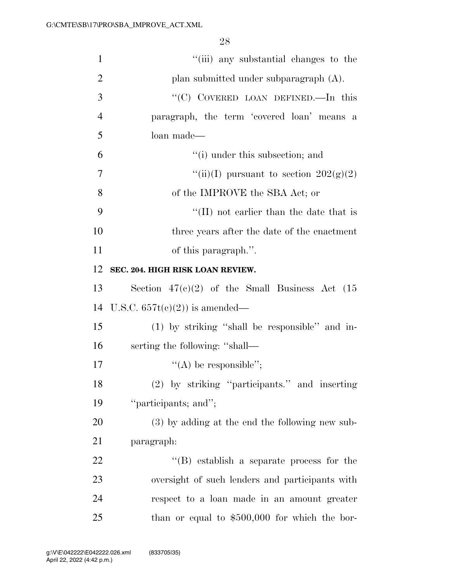| $\mathbf{1}$   | "(iii) any substantial changes to the            |
|----------------|--------------------------------------------------|
| $\overline{2}$ | plan submitted under subparagraph (A).           |
| 3              | "(C) COVERED LOAN DEFINED.—In this               |
| $\overline{4}$ | paragraph, the term 'covered loan' means a       |
| 5              | loan made-                                       |
| 6              | "(i) under this subsection; and                  |
| 7              | "(ii)(I) pursuant to section $202(g)(2)$         |
| 8              | of the IMPROVE the SBA Act; or                   |
| 9              | $\lq$ (II) not earlier than the date that is     |
| 10             | three years after the date of the enactment      |
| 11             | of this paragraph.".                             |
| 12             | SEC. 204. HIGH RISK LOAN REVIEW.                 |
| 13             | Section $47(c)(2)$ of the Small Business Act (15 |
| 14             | U.S.C. $657t(c)(2)$ is amended—                  |
| 15             | $(1)$ by striking "shall be responsible" and in- |
| 16             | serting the following: "shall—                   |
| 17             | "(A) be responsible";                            |
| 18             | (2) by striking "participants." and inserting    |
| 19             | "participants; and";                             |
| 20             | (3) by adding at the end the following new sub-  |
| 21             | paragraph:                                       |
| 22             | $\lq\lq$ establish a separate process for the    |
| 23             | oversight of such lenders and participants with  |
| 24             | respect to a loan made in an amount greater      |
| 25             | than or equal to $$500,000$ for which the bor-   |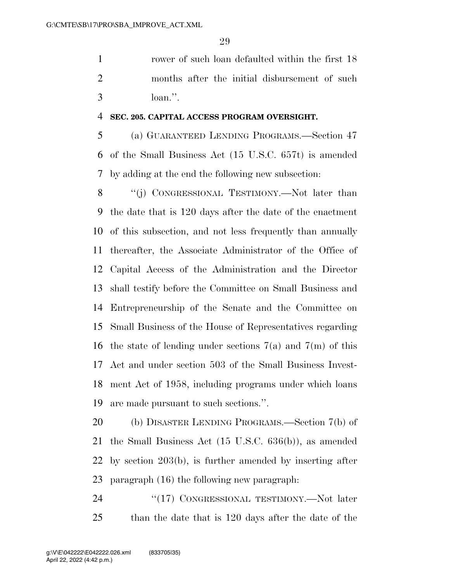rower of such loan defaulted within the first 18 months after the initial disbursement of such loan.''.

## **SEC. 205. CAPITAL ACCESS PROGRAM OVERSIGHT.**

 (a) GUARANTEED LENDING PROGRAMS.—Section 47 of the Small Business Act (15 U.S.C. 657t) is amended by adding at the end the following new subsection:

8 "(j) CONGRESSIONAL TESTIMONY.—Not later than the date that is 120 days after the date of the enactment of this subsection, and not less frequently than annually thereafter, the Associate Administrator of the Office of Capital Access of the Administration and the Director shall testify before the Committee on Small Business and Entrepreneurship of the Senate and the Committee on Small Business of the House of Representatives regarding the state of lending under sections 7(a) and 7(m) of this Act and under section 503 of the Small Business Invest- ment Act of 1958, including programs under which loans are made pursuant to such sections.''.

 (b) DISASTER LENDING PROGRAMS.—Section 7(b) of the Small Business Act (15 U.S.C. 636(b)), as amended by section 203(b), is further amended by inserting after paragraph (16) the following new paragraph:

24 "(17) CONGRESSIONAL TESTIMONY.—Not later than the date that is 120 days after the date of the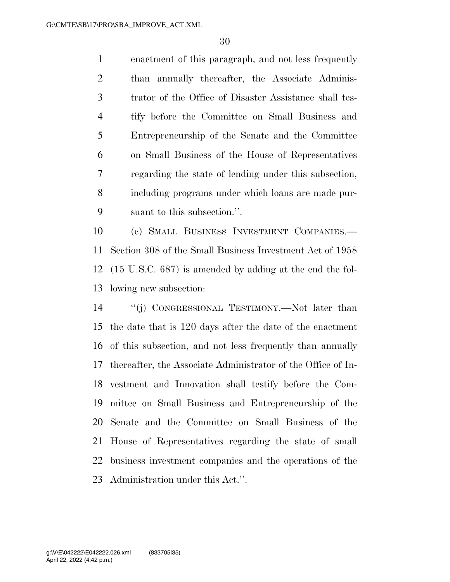enactment of this paragraph, and not less frequently than annually thereafter, the Associate Adminis- trator of the Office of Disaster Assistance shall tes- tify before the Committee on Small Business and Entrepreneurship of the Senate and the Committee on Small Business of the House of Representatives regarding the state of lending under this subsection, including programs under which loans are made pur-suant to this subsection.''.

 (c) SMALL BUSINESS INVESTMENT COMPANIES.— Section 308 of the Small Business Investment Act of 1958 (15 U.S.C. 687) is amended by adding at the end the fol-lowing new subsection:

 ''(j) CONGRESSIONAL TESTIMONY.—Not later than the date that is 120 days after the date of the enactment of this subsection, and not less frequently than annually thereafter, the Associate Administrator of the Office of In- vestment and Innovation shall testify before the Com- mittee on Small Business and Entrepreneurship of the Senate and the Committee on Small Business of the House of Representatives regarding the state of small business investment companies and the operations of the Administration under this Act.''.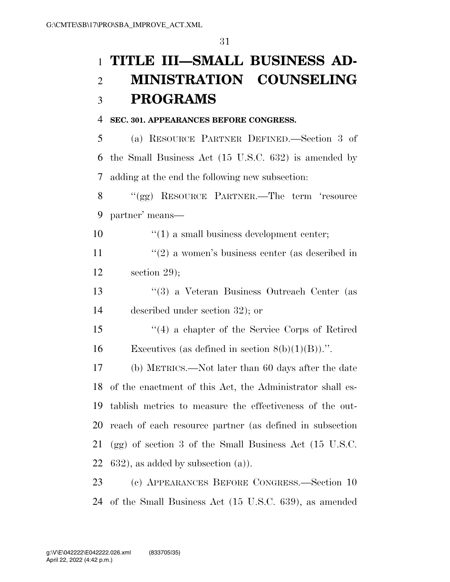# **TITLE III—SMALL BUSINESS AD- MINISTRATION COUNSELING PROGRAMS**

## **SEC. 301. APPEARANCES BEFORE CONGRESS.**

 (a) RESOURCE PARTNER DEFINED.—Section 3 of the Small Business Act (15 U.S.C. 632) is amended by adding at the end the following new subsection:

 ''(gg) RESOURCE PARTNER.—The term 'resource partner' means—

10  $\frac{10}{10}$  a small business development center;

11 ''(2) a women's business center (as described in section 29);

 ''(3) a Veteran Business Outreach Center (as described under section 32); or

 ''(4) a chapter of the Service Corps of Retired 16 Executives (as defined in section  $8(b)(1)(B))$ .".

 (b) METRICS.—Not later than 60 days after the date of the enactment of this Act, the Administrator shall es- tablish metrics to measure the effectiveness of the out- reach of each resource partner (as defined in subsection (gg) of section 3 of the Small Business Act (15 U.S.C. , as added by subsection (a)).

 (c) APPEARANCES BEFORE CONGRESS.—Section 10 of the Small Business Act (15 U.S.C. 639), as amended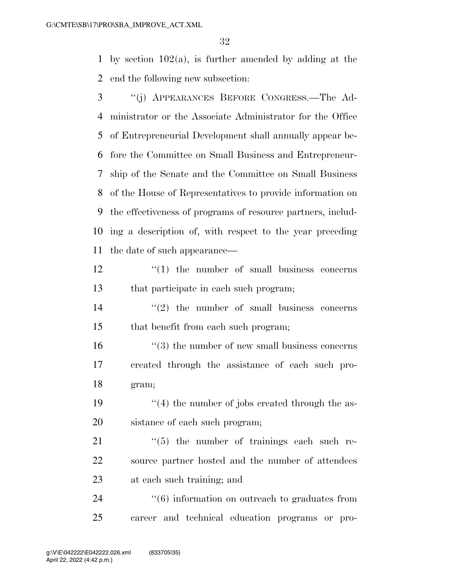by section 102(a), is further amended by adding at the end the following new subsection:

- ''(j) APPEARANCES BEFORE CONGRESS.—The Ad- ministrator or the Associate Administrator for the Office of Entrepreneurial Development shall annually appear be- fore the Committee on Small Business and Entrepreneur- ship of the Senate and the Committee on Small Business of the House of Representatives to provide information on the effectiveness of programs of resource partners, includ- ing a description of, with respect to the year preceding the date of such appearance—
- 12 ''(1) the number of small business concerns that participate in each such program;
- $\frac{14}{2}$  ''(2) the number of small business concerns that benefit from each such program;
- 16 ''(3) the number of new small business concerns created through the assistance of each such pro-gram;
- 19  $\frac{1}{2}$  (4) the number of jobs created through the as-sistance of each such program;
- 21  $\frac{1}{2}$  (5) the number of trainings each such re- source partner hosted and the number of attendees at each such training; and

24  $(6)$  information on outreach to graduates from career and technical education programs or pro-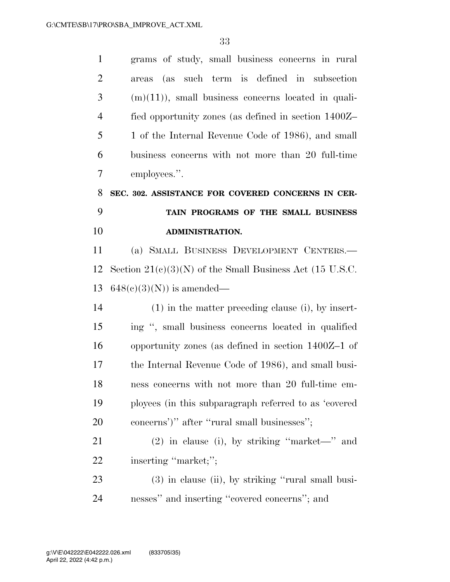| $\mathbf{1}$   | grams of study, small business concerns in rural           |
|----------------|------------------------------------------------------------|
| $\overline{2}$ | areas (as such term is defined in subsection               |
| 3              | $(m)(11)$ , small business concerns located in quali-      |
| $\overline{4}$ | fied opportunity zones (as defined in section 1400Z-       |
| 5              | 1 of the Internal Revenue Code of 1986), and small         |
| 6              | business concerns with not more than 20 full-time          |
| $\overline{7}$ | employees.".                                               |
| 8              | SEC. 302. ASSISTANCE FOR COVERED CONCERNS IN CER-          |
| 9              | TAIN PROGRAMS OF THE SMALL BUSINESS                        |
| 10             | <b>ADMINISTRATION.</b>                                     |
| 11             | (a) SMALL BUSINESS DEVELOPMENT CENTERS.-                   |
| 12             | Section $21(c)(3)(N)$ of the Small Business Act (15 U.S.C. |
| 13             | $648(c)(3)(N)$ is amended—                                 |
| 14             | $(1)$ in the matter preceding clause (i), by insert-       |
| 15             | ing ", small business concerns located in qualified        |
| 16             | opportunity zones (as defined in section $1400Z-1$ of      |
| 17             | the Internal Revenue Code of 1986), and small busi-        |
| 18             | ness concerns with not more than 20 full-time em-          |
| 19             | ployees (in this subparagraph referred to as 'covered      |
| 20             | concerns')" after "rural small businesses";                |
| 21             | $(2)$ in clause (i), by striking "market—" and             |
| 22             | inserting "market;";                                       |
| 23             | (3) in clause (ii), by striking "rural small busi-         |
| 24             | nesses" and inserting "covered concerns"; and              |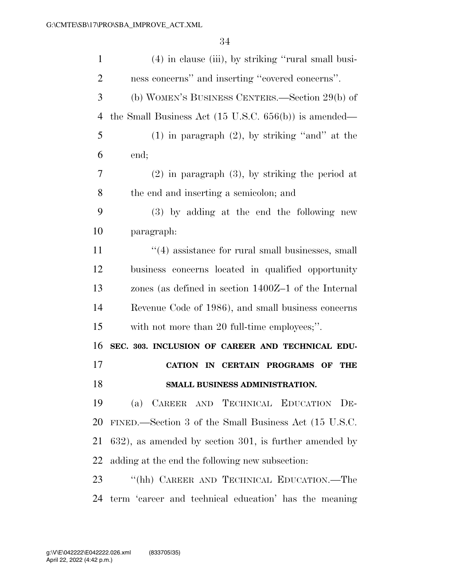| $\mathbf{1}$   | (4) in clause (iii), by striking "rural small busi-               |
|----------------|-------------------------------------------------------------------|
| $\overline{2}$ | ness concerns" and inserting "covered concerns".                  |
| 3              | (b) WOMEN'S BUSINESS CENTERS.—Section 29(b) of                    |
| 4              | the Small Business Act $(15 \text{ U.S.C. } 656(b))$ is amended—  |
| 5              | $(1)$ in paragraph $(2)$ , by striking "and" at the               |
| 6              | end;                                                              |
| 7              | $(2)$ in paragraph $(3)$ , by striking the period at              |
| 8              | the end and inserting a semicolon; and                            |
| 9              | (3) by adding at the end the following new                        |
| 10             | paragraph:                                                        |
| 11             | $\cdot\cdot\cdot(4)$ assistance for rural small businesses, small |
| 12             | business concerns located in qualified opportunity                |
| 13             | zones (as defined in section 1400Z-1 of the Internal              |
| 14             | Revenue Code of 1986), and small business concerns                |
| 15             | with not more than 20 full-time employees;".                      |
| 16             | SEC. 303. INCLUSION OF CAREER AND TECHNICAL EDU-                  |
| 17             | CATION IN CERTAIN PROGRAMS OF<br>THE                              |
| 18             | SMALL BUSINESS ADMINISTRATION.                                    |
| 19             | CAREER AND TECHNICAL EDUCATION DE-<br>(a)                         |
| <b>20</b>      | FINED.—Section 3 of the Small Business Act (15 U.S.C.             |
| 21             | $632$ ), as amended by section 301, is further amended by         |
| 22             | adding at the end the following new subsection:                   |
| 23             | "(hh) CAREER AND TECHNICAL EDUCATION.—The                         |
| 24             | term 'career and technical education' has the meaning             |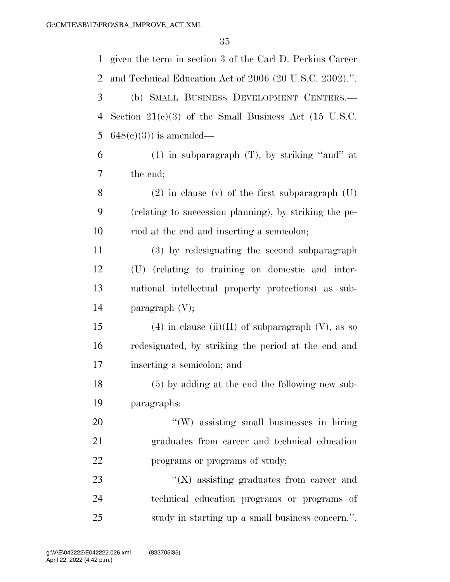| $\mathbf{1}$   | given the term in section 3 of the Carl D. Perkins Career |
|----------------|-----------------------------------------------------------|
| $\overline{2}$ | and Technical Education Act of 2006 (20 U.S.C. 2302).".   |
| 3              | (b) SMALL BUSINESS DEVELOPMENT CENTERS.-                  |
| 4              | Section $21(c)(3)$ of the Small Business Act (15 U.S.C.   |
| 5              | $648(c)(3)$ is amended—                                   |
| 6              | $(1)$ in subparagraph $(T)$ , by striking "and" at        |
| 7              | the end;                                                  |
| 8              | $(2)$ in clause (v) of the first subparagraph $(U)$       |
| 9              | (relating to succession planning), by striking the pe-    |
| 10             | riod at the end and inserting a semicolon;                |
| 11             | (3) by redesignating the second subparagraph              |
| 12             | (U) (relating to training on domestic and inter-          |
| 13             | national intellectual property protections) as sub-       |
| 14             | paragraph $(V)$ ;                                         |
| 15             | $(4)$ in clause (ii)(II) of subparagraph (V), as so       |
| 16             | redesignated, by striking the period at the end and       |
| 17             | inserting a semicolon; and                                |
| 18             | (5) by adding at the end the following new sub-           |
| 19             | paragraphs:                                               |
| 20             | "(W) assisting small businesses in hiring                 |
| 21             | graduates from career and technical education             |
| 22             | programs or programs of study;                            |
| 23             | $\lq\lq$ assisting graduates from career and              |
| 24             | technical education programs or programs of               |
| 25             | study in starting up a small business concern.".          |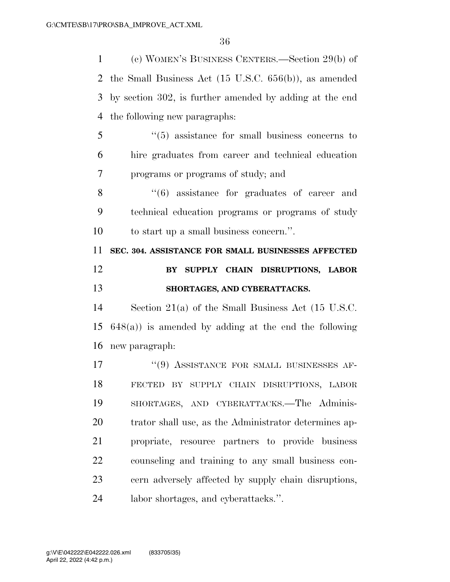(c) WOMEN'S BUSINESS CENTERS.—Section 29(b) of the Small Business Act (15 U.S.C. 656(b)), as amended by section 302, is further amended by adding at the end the following new paragraphs:

 ''(5) assistance for small business concerns to hire graduates from career and technical education programs or programs of study; and

8 ''(6) assistance for graduates of career and technical education programs or programs of study to start up a small business concern.''.

 **SEC. 304. ASSISTANCE FOR SMALL BUSINESSES AFFECTED BY SUPPLY CHAIN DISRUPTIONS, LABOR SHORTAGES, AND CYBERATTACKS.** 

 Section 21(a) of the Small Business Act (15 U.S.C. 648(a)) is amended by adding at the end the following new paragraph:

17 <sup>''(9)</sup> ASSISTANCE FOR SMALL BUSINESSES AF- FECTED BY SUPPLY CHAIN DISRUPTIONS, LABOR SHORTAGES, AND CYBERATTACKS.—The Adminis- trator shall use, as the Administrator determines ap- propriate, resource partners to provide business counseling and training to any small business con- cern adversely affected by supply chain disruptions, labor shortages, and cyberattacks.''.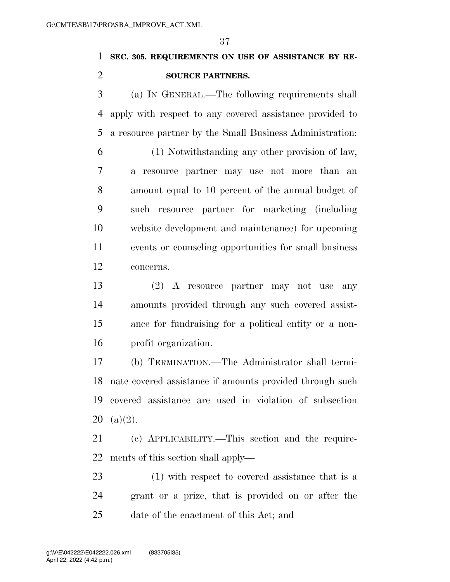# **SEC. 305. REQUIREMENTS ON USE OF ASSISTANCE BY RE-SOURCE PARTNERS.**

 (a) IN GENERAL.—The following requirements shall apply with respect to any covered assistance provided to a resource partner by the Small Business Administration:

 (1) Notwithstanding any other provision of law, a resource partner may use not more than an amount equal to 10 percent of the annual budget of such resource partner for marketing (including website development and maintenance) for upcoming events or counseling opportunities for small business concerns.

 (2) A resource partner may not use any amounts provided through any such covered assist- ance for fundraising for a political entity or a non-profit organization.

 (b) TERMINATION.—The Administrator shall termi- nate covered assistance if amounts provided through such covered assistance are used in violation of subsection (a)(2).

 (c) APPLICABILITY.—This section and the require-ments of this section shall apply—

 (1) with respect to covered assistance that is a grant or a prize, that is provided on or after the date of the enactment of this Act; and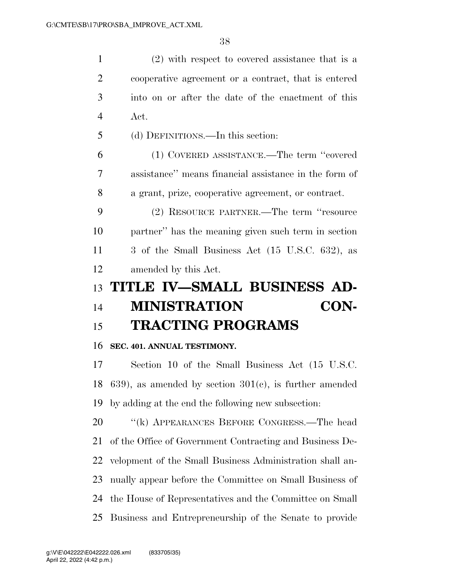(2) with respect to covered assistance that is a cooperative agreement or a contract, that is entered into on or after the date of the enactment of this Act. (d) DEFINITIONS.—In this section: (1) COVERED ASSISTANCE.—The term ''covered assistance'' means financial assistance in the form of a grant, prize, cooperative agreement, or contract. (2) RESOURCE PARTNER.—The term ''resource partner'' has the meaning given such term in section 3 of the Small Business Act (15 U.S.C. 632), as amended by this Act.

# **TITLE IV—SMALL BUSINESS AD- MINISTRATION CON-TRACTING PROGRAMS**

# **SEC. 401. ANNUAL TESTIMONY.**

 Section 10 of the Small Business Act (15 U.S.C. 18 639), as amended by section  $301(c)$ , is further amended by adding at the end the following new subsection:

20 "(k) APPEARANCES BEFORE CONGRESS.—The head of the Office of Government Contracting and Business De- velopment of the Small Business Administration shall an- nually appear before the Committee on Small Business of the House of Representatives and the Committee on Small Business and Entrepreneurship of the Senate to provide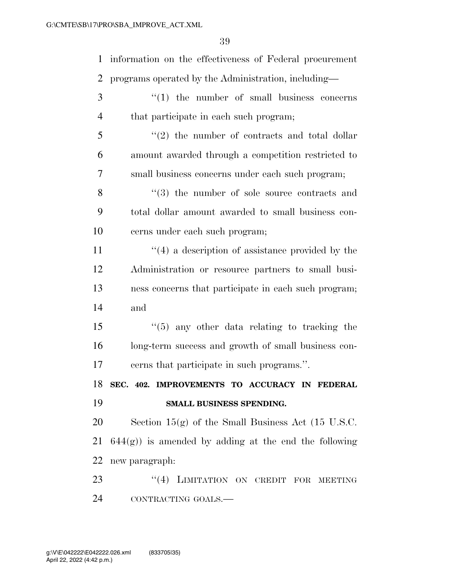information on the effectiveness of Federal procurement programs operated by the Administration, including— 3 ''(1) the number of small business concerns that participate in each such program; ''(2) the number of contracts and total dollar amount awarded through a competition restricted to small business concerns under each such program; 8 ''(3) the number of sole source contracts and total dollar amount awarded to small business con- cerns under each such program; 11 ''(4) a description of assistance provided by the Administration or resource partners to small busi- ness concerns that participate in each such program; and ''(5) any other data relating to tracking the long-term success and growth of small business con- cerns that participate in such programs.''. **SEC. 402. IMPROVEMENTS TO ACCURACY IN FEDERAL SMALL BUSINESS SPENDING.**  Section 15(g) of the Small Business Act (15 U.S.C.  $644(g)$  is amended by adding at the end the following new paragraph: 23 "(4) LIMITATION ON CREDIT FOR MEETING CONTRACTING GOALS.—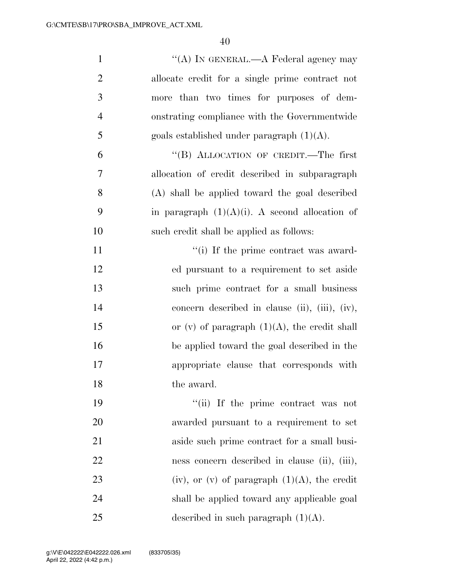| $\mathbf{1}$   | "(A) IN GENERAL.—A Federal agency may             |
|----------------|---------------------------------------------------|
| $\overline{2}$ | allocate credit for a single prime contract not   |
| 3              | more than two times for purposes of dem-          |
| $\overline{4}$ | onstrating compliance with the Governmentwide     |
| 5              | goals established under paragraph $(1)(A)$ .      |
| 6              | "(B) ALLOCATION OF CREDIT.—The first              |
| $\overline{7}$ | allocation of credit described in subparagraph    |
| 8              | (A) shall be applied toward the goal described    |
| 9              | in paragraph $(1)(A)(i)$ . A second allocation of |
| 10             | such credit shall be applied as follows:          |
| 11             | "(i) If the prime contract was award-             |
| 12             | ed pursuant to a requirement to set aside         |
| 13             | such prime contract for a small business          |
| 14             | concern described in clause (ii), (iii), (iv),    |
| 15             | or (v) of paragraph $(1)(A)$ , the credit shall   |
| 16             | be applied toward the goal described in the       |
| 17             | appropriate clause that corresponds with          |
| 18             | the award.                                        |
| 19             | "(ii) If the prime contract was not               |
| <b>20</b>      | awarded pursuant to a requirement to set          |
| 21             | aside such prime contract for a small busi-       |
| 22             | ness concern described in clause (ii), (iii),     |
| 23             | (iv), or (v) of paragraph $(1)(A)$ , the credit   |
| 24             | shall be applied toward any applicable goal       |
| 25             | described in such paragraph $(1)(A)$ .            |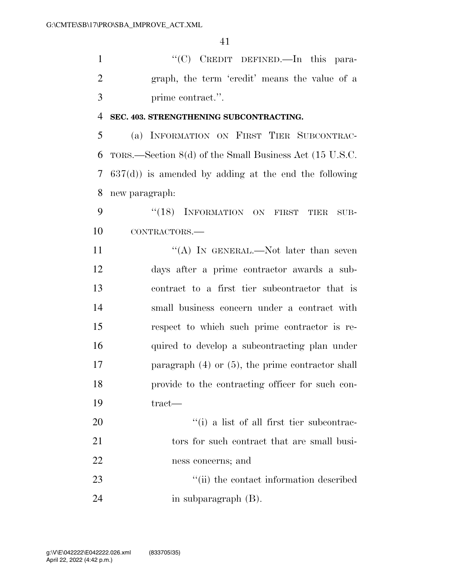1 ''(C) CREDIT DEFINED.—In this para- graph, the term 'credit' means the value of a prime contract.''.

### **SEC. 403. STRENGTHENING SUBCONTRACTING.**

 (a) INFORMATION ON FIRST TIER SUBCONTRAC- TORS.—Section 8(d) of the Small Business Act (15 U.S.C. 637(d)) is amended by adding at the end the following new paragraph:

9 "(18) INFORMATION ON FIRST TIER SUB-CONTRACTORS.—

 $((A)$  IN GENERAL.—Not later than seven days after a prime contractor awards a sub- contract to a first tier subcontractor that is small business concern under a contract with respect to which such prime contractor is re- quired to develop a subcontracting plan under 17 paragraph (4) or (5), the prime contractor shall provide to the contracting officer for such con-tract—

20  $\frac{1}{20}$  ist of all first tier subcontrac-21 tors for such contract that are small busi- ness concerns; and 23 ''(ii) the contact information described

in subparagraph (B).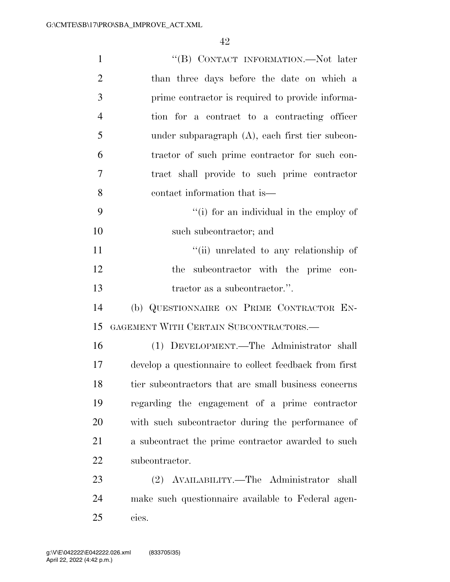| $\mathbf{1}$   | "(B) CONTACT INFORMATION.—Not later                    |
|----------------|--------------------------------------------------------|
| $\overline{2}$ | than three days before the date on which a             |
| 3              | prime contractor is required to provide informa-       |
| $\overline{4}$ | tion for a contract to a contracting officer           |
| 5              | under subparagraph $(A)$ , each first tier subcon-     |
| 6              | tractor of such prime contractor for such con-         |
| $\overline{7}$ | tract shall provide to such prime contractor           |
| 8              | contact information that is—                           |
| 9              | "(i) for an individual in the employ of                |
| 10             | such subcontractor; and                                |
| 11             | "(ii) unrelated to any relationship of                 |
| 12             | subcontractor with the prime con-<br>the               |
| 13             | tractor as a subcontractor.".                          |
| 14             | (b) QUESTIONNAIRE ON PRIME CONTRACTOR EN-              |
| 15             | GAGEMENT WITH CERTAIN SUBCONTRACTORS.—                 |
| 16             | (1) DEVELOPMENT.—The Administrator shall               |
| 17             | develop a questionnaire to collect feedback from first |
| 18             | tier subcontractors that are small business concerns   |
| 19             | regarding the engagement of a prime contractor         |
| 20             | with such subcontractor during the performance of      |
| 21             | a subcontract the prime contractor awarded to such     |
| 22             | subcontractor.                                         |
| 23             | (2) AVAILABILITY.—The Administrator<br>shall           |
| 24             | make such questionnaire available to Federal agen-     |
| 25             | cies.                                                  |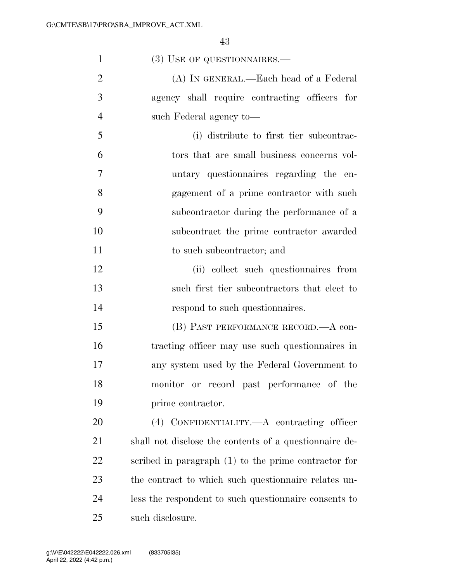| $\mathbf{1}$   | (3) USE OF QUESTIONNAIRES.—                            |
|----------------|--------------------------------------------------------|
| $\overline{2}$ | (A) IN GENERAL.—Each head of a Federal                 |
| 3              | agency shall require contracting officers for          |
| $\overline{4}$ | such Federal agency to-                                |
| 5              | (i) distribute to first tier subcontrac-               |
| 6              | tors that are small business concerns vol-             |
| 7              | untary questionnaires regarding the en-                |
| 8              | gagement of a prime contractor with such               |
| 9              | subcontractor during the performance of a              |
| 10             | subcontract the prime contractor awarded               |
| 11             | to such subcontractor; and                             |
| 12             | (ii) collect such questionnaires from                  |
| 13             | such first tier subcontractors that elect to           |
| 14             | respond to such questionnaires.                        |
| 15             | (B) PAST PERFORMANCE RECORD.—A con-                    |
| 16             | tracting officer may use such questionnaires in        |
| 17             | any system used by the Federal Government to           |
| 18             | monitor or record past performance of the              |
| 19             | prime contractor.                                      |
| 20             | (4) CONFIDENTIALITY.—A contracting officer             |
| 21             | shall not disclose the contents of a questionnaire de- |
| 22             | scribed in paragraph (1) to the prime contractor for   |
| 23             | the contract to which such question aire relates un-   |
| 24             | less the respondent to such questionnaire consents to  |
| 25             | such disclosure.                                       |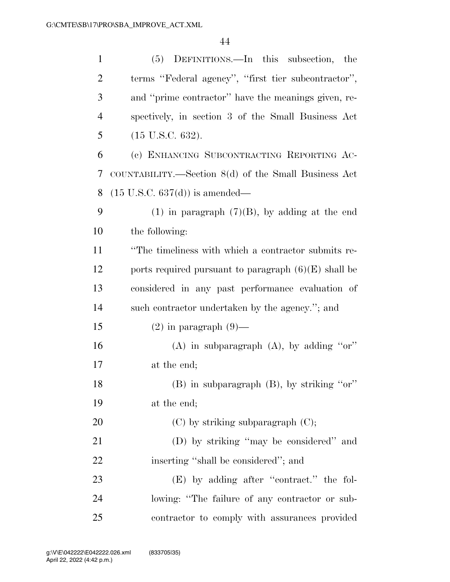| $\mathbf{1}$   | (5) DEFINITIONS.—In this subsection, the               |
|----------------|--------------------------------------------------------|
| $\overline{2}$ | terms "Federal agency", "first tier subcontractor",    |
| 3              | and "prime contractor" have the meanings given, re-    |
| $\overline{4}$ | spectively, in section 3 of the Small Business Act     |
| 5              | $(15 \text{ U.S.C. } 632).$                            |
| 6              | (c) ENHANCING SUBCONTRACTING REPORTING AC-             |
| 7              | COUNTABILITY.—Section $8(d)$ of the Small Business Act |
| 8              | $(15 \text{ U.S.C. } 637(d))$ is amended—              |
| 9              | $(1)$ in paragraph $(7)(B)$ , by adding at the end     |
| 10             | the following:                                         |
| 11             | "The timeliness with which a contractor submits re-    |
| 12             | ports required pursuant to paragraph $(6)(E)$ shall be |
| 13             | considered in any past performance evaluation of       |
| 14             | such contractor undertaken by the agency."; and        |
| 15             | $(2)$ in paragraph $(9)$ —                             |
| 16             | (A) in subparagraph $(A)$ , by adding "or"             |
| 17             | at the end;                                            |
| 18             | $(B)$ in subparagraph $(B)$ , by striking "or"         |
| 19             | at the end;                                            |
| 20             | $(C)$ by striking subparagraph $(C)$ ;                 |
| 21             | (D) by striking "may be considered" and                |
| 22             | inserting "shall be considered"; and                   |
| 23             | (E) by adding after "contract." the fol-               |
| 24             | lowing: "The failure of any contractor or sub-         |
| 25             | contractor to comply with assurances provided          |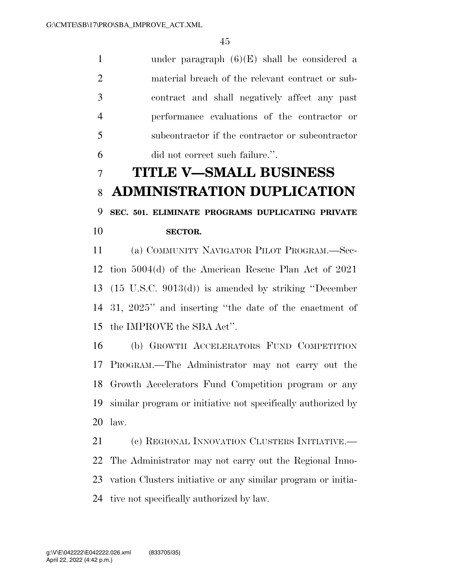under paragraph (6)(E) shall be considered a material breach of the relevant contract or sub- contract and shall negatively affect any past performance evaluations of the contractor or subcontractor if the contractor or subcontractor did not correct such failure.''.

# **TITLE V—SMALL BUSINESS ADMINISTRATION DUPLICATION**

# **SEC. 501. ELIMINATE PROGRAMS DUPLICATING PRIVATE**

## **SECTOR.**

 (a) COMMUNITY NAVIGATOR PILOT PROGRAM.—Sec- tion 5004(d) of the American Rescue Plan Act of 2021 (15 U.S.C. 9013(d)) is amended by striking ''December 31, 2025'' and inserting ''the date of the enactment of the IMPROVE the SBA Act''.

 (b) GROWTH ACCELERATORS FUND COMPETITION PROGRAM.—The Administrator may not carry out the Growth Accelerators Fund Competition program or any similar program or initiative not specifically authorized by law.

21 (c) REGIONAL INNOVATION CLUSTERS INITIATIVE. The Administrator may not carry out the Regional Inno- vation Clusters initiative or any similar program or initia-tive not specifically authorized by law.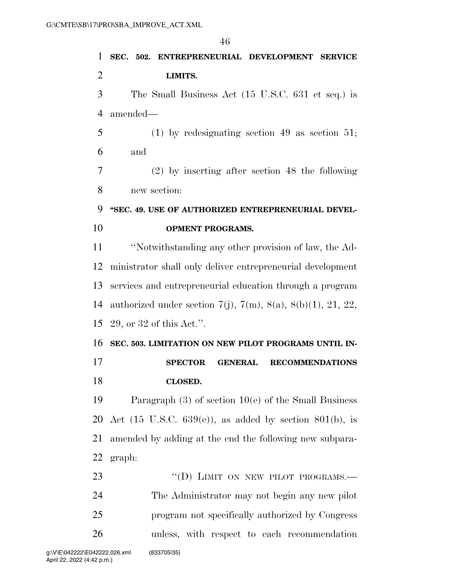| $\mathbf{1}$   | SEC. 502. ENTREPRENEURIAL DEVELOPMENT SERVICE                         |
|----------------|-----------------------------------------------------------------------|
| $\overline{2}$ | LIMITS.                                                               |
| 3              | The Small Business Act (15 U.S.C. 631 et seq.) is                     |
| $\overline{4}$ | amended—                                                              |
| 5              | $(1)$ by redesignating section 49 as section 51;                      |
| 6              | and                                                                   |
| 7              | $(2)$ by inserting after section 48 the following                     |
| 8              | new section:                                                          |
| 9              | "SEC. 49. USE OF AUTHORIZED ENTREPRENEURIAL DEVEL-                    |
| 10             | <b>OPMENT PROGRAMS.</b>                                               |
| 11             | "Notwithstanding any other provision of law, the Ad-                  |
| 12             | ministrator shall only deliver entrepreneurial development            |
| 13             | services and entrepreneurial education through a program              |
| 14             | authorized under section 7(j), 7(m), 8(a), 8(b)(1), 21, 22,           |
| 15             | $29$ , or $32$ of this Act.".                                         |
| 16             | SEC. 503. LIMITATION ON NEW PILOT PROGRAMS UNTIL IN-                  |
| 17             | <b>RECOMMENDATIONS</b><br><b>SPECTOR</b><br><b>GENERAL</b>            |
| 18             | <b>CLOSED.</b>                                                        |
| 19             | Paragraph $(3)$ of section $10(e)$ of the Small Business              |
| 20             | Act $(15 \text{ U.S.C. } 639(e))$ , as added by section $801(b)$ , is |
| 21             | amended by adding at the end the following new subpara-               |
|                | 22 graph:                                                             |
| 23             | "(D) LIMIT ON NEW PILOT PROGRAMS.-                                    |
| 24             | The Administrator may not begin any new pilot                         |
| 25             | program not specifically authorized by Congress                       |
| 26             | unless, with respect to each recommendation                           |
|                | (83370535)<br>142222.026.xml                                          |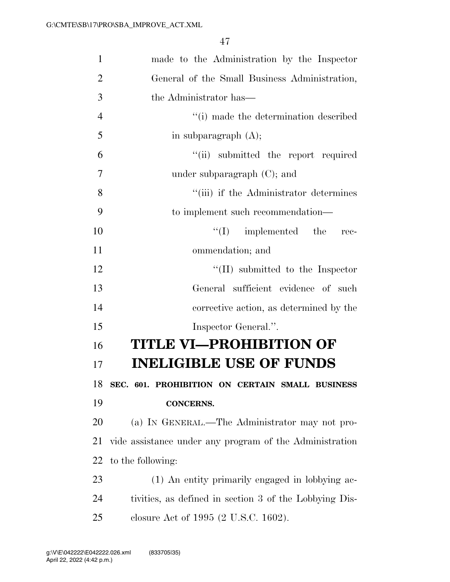| $\mathbf{1}$   | made to the Administration by the Inspector             |
|----------------|---------------------------------------------------------|
| $\overline{2}$ | General of the Small Business Administration,           |
| 3              | the Administrator has—                                  |
| $\overline{4}$ | "(i) made the determination described                   |
| 5              | in subparagraph $(A)$ ;                                 |
| 6              | "(ii) submitted the report required                     |
| 7              | under subparagraph $(C)$ ; and                          |
| 8              | "(iii) if the Administrator determines                  |
| 9              | to implement such recommendation—                       |
| 10             | $\lq\lq$ implemented the<br>rec-                        |
| 11             | ommendation; and                                        |
| 12             | $\lq\lq$ (II) submitted to the Inspector                |
| 13             | General sufficient evidence of such                     |
| 14             | corrective action, as determined by the                 |
| 15             | Inspector General.".                                    |
| 16             | <b>TITLE VI—PROHIBITION OF</b>                          |
| 17             | <b>INELIGIBLE USE OF FUNDS</b>                          |
| 18             | SEC. 601. PROHIBITION ON CERTAIN SMALL BUSINESS         |
| 19             | <b>CONCERNS.</b>                                        |
| 20             | (a) IN GENERAL.—The Administrator may not pro-          |
| 21             | vide assistance under any program of the Administration |
| 22             | to the following:                                       |
| 23             | (1) An entity primarily engaged in lobbying ac-         |
| 24             | tivities, as defined in section 3 of the Lobbying Dis-  |
| 25             | closure Act of 1995 (2 U.S.C. 1602).                    |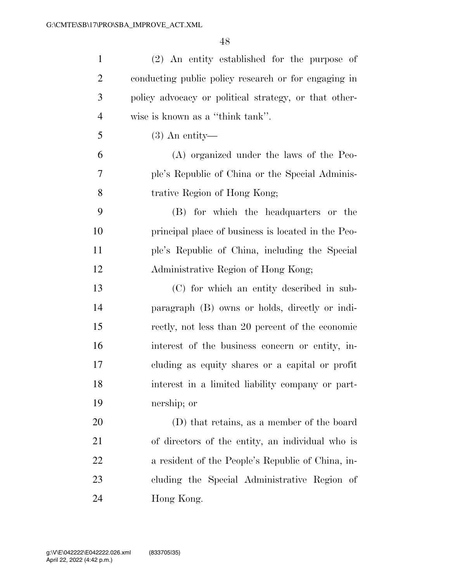| $\mathbf{1}$   | (2) An entity established for the purpose of          |
|----------------|-------------------------------------------------------|
| $\overline{2}$ | conducting public policy research or for engaging in  |
| 3              | policy advocacy or political strategy, or that other- |
| $\overline{4}$ | wise is known as a "think tank".                      |
| 5              | $(3)$ An entity—                                      |
| 6              | (A) organized under the laws of the Peo-              |
| 7              | ple's Republic of China or the Special Adminis-       |
| 8              | trative Region of Hong Kong;                          |
| 9              | (B) for which the headquarters or the                 |
| 10             | principal place of business is located in the Peo-    |
| 11             | ple's Republic of China, including the Special        |
| 12             | Administrative Region of Hong Kong;                   |
| 13             | (C) for which an entity described in sub-             |
| 14             | paragraph (B) owns or holds, directly or indi-        |
| 15             | rectly, not less than 20 percent of the economic      |
| 16             | interest of the business concern or entity, in-       |
| 17             | cluding as equity shares or a capital or profit       |
| 18             | interest in a limited liability company or part-      |
| 19             | nership; or                                           |
| 20             | (D) that retains, as a member of the board            |
| 21             | of directors of the entity, an individual who is      |
| 22             | a resident of the People's Republic of China, in-     |
| 23             | cluding the Special Administrative Region of          |
| 24             | Hong Kong.                                            |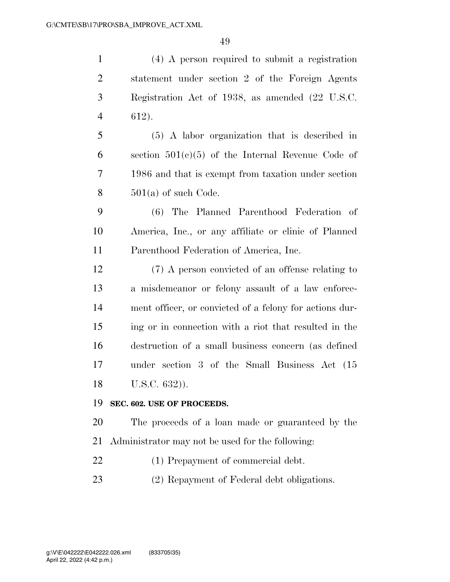(4) A person required to submit a registration statement under section 2 of the Foreign Agents Registration Act of 1938, as amended (22 U.S.C. 612). (5) A labor organization that is described in 6 section  $501(c)(5)$  of the Internal Revenue Code of 1986 and that is exempt from taxation under section  $8 \qquad 501(a)$  of such Code. (6) The Planned Parenthood Federation of America, Inc., or any affiliate or clinic of Planned Parenthood Federation of America, Inc. (7) A person convicted of an offense relating to a misdemeanor or felony assault of a law enforce- ment officer, or convicted of a felony for actions dur- ing or in connection with a riot that resulted in the destruction of a small business concern (as defined under section 3 of the Small Business Act (15 U.S.C. 632)). **SEC. 602. USE OF PROCEEDS.**  The proceeds of a loan made or guaranteed by the Administrator may not be used for the following: 22 (1) Prepayment of commercial debt. (2) Repayment of Federal debt obligations.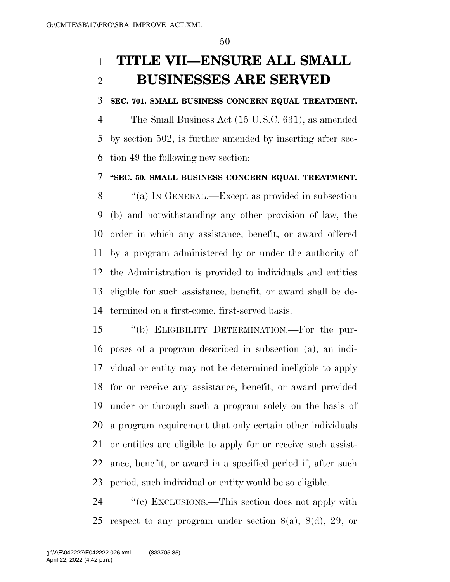# **TITLE VII—ENSURE ALL SMALL BUSINESSES ARE SERVED**

### **SEC. 701. SMALL BUSINESS CONCERN EQUAL TREATMENT.**

 The Small Business Act (15 U.S.C. 631), as amended by section 502, is further amended by inserting after sec-tion 49 the following new section:

### **''SEC. 50. SMALL BUSINESS CONCERN EQUAL TREATMENT.**

 ''(a) IN GENERAL.—Except as provided in subsection (b) and notwithstanding any other provision of law, the order in which any assistance, benefit, or award offered by a program administered by or under the authority of the Administration is provided to individuals and entities eligible for such assistance, benefit, or award shall be de-termined on a first-come, first-served basis.

 ''(b) ELIGIBILITY DETERMINATION.—For the pur- poses of a program described in subsection (a), an indi- vidual or entity may not be determined ineligible to apply for or receive any assistance, benefit, or award provided under or through such a program solely on the basis of a program requirement that only certain other individuals or entities are eligible to apply for or receive such assist- ance, benefit, or award in a specified period if, after such period, such individual or entity would be so eligible.

24  $\cdot$  "(c) EXCLUSIONS.—This section does not apply with respect to any program under section 8(a), 8(d), 29, or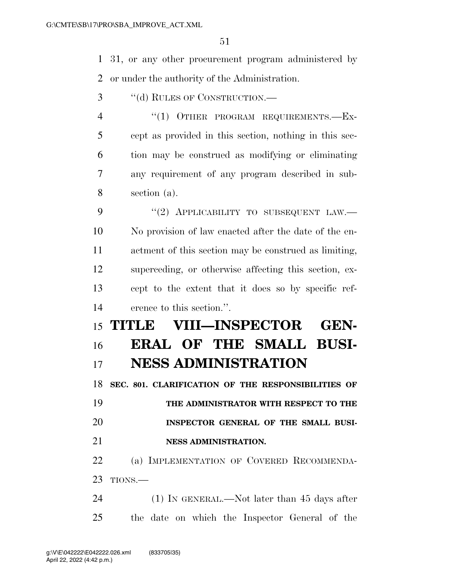31, or any other procurement program administered by or under the authority of the Administration.

- ''(d) RULES OF CONSTRUCTION.—
- 4 "(1) OTHER PROGRAM REQUIREMENTS.-EX- cept as provided in this section, nothing in this sec- tion may be construed as modifying or eliminating any requirement of any program described in sub-section (a).

9 "(2) APPLICABILITY TO SUBSEQUENT LAW.— No provision of law enacted after the date of the en- actment of this section may be construed as limiting, superceding, or otherwise affecting this section, ex- cept to the extent that it does so by specific ref-erence to this section.''.

# **TITLE VIII—INSPECTOR GEN- ERAL OF THE SMALL BUSI-NESS ADMINISTRATION**

 **SEC. 801. CLARIFICATION OF THE RESPONSIBILITIES OF THE ADMINISTRATOR WITH RESPECT TO THE INSPECTOR GENERAL OF THE SMALL BUSI-NESS ADMINISTRATION.** 

 (a) IMPLEMENTATION OF COVERED RECOMMENDA-TIONS.—

 (1) IN GENERAL.—Not later than 45 days after the date on which the Inspector General of the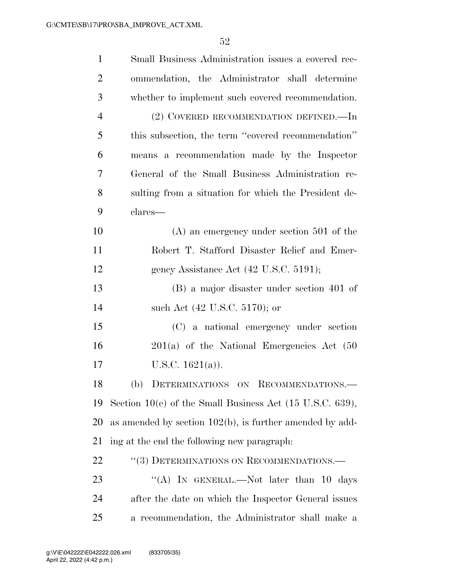| $\mathbf{1}$   | Small Business Administration issues a covered rec-                  |
|----------------|----------------------------------------------------------------------|
| $\overline{2}$ | ommendation, the Administrator shall determine                       |
| 3              | whether to implement such covered recommendation.                    |
| $\overline{4}$ | (2) COVERED RECOMMENDATION DEFINED.—In                               |
| 5              | this subsection, the term "covered recommendation"                   |
| 6              | means a recommendation made by the Inspector                         |
| 7              | General of the Small Business Administration re-                     |
| 8              | sulting from a situation for which the President de-                 |
| 9              | clares—                                                              |
| 10             | $(A)$ an emergency under section 501 of the                          |
| 11             | Robert T. Stafford Disaster Relief and Emer-                         |
| 12             | gency Assistance Act (42 U.S.C. 5191);                               |
| 13             | (B) a major disaster under section 401 of                            |
| 14             | such Act (42 U.S.C. 5170); or                                        |
| 15             | (C) a national emergency under section                               |
| 16             | $201(a)$ of the National Emergencies Act $(50)$                      |
| 17             | U.S.C. $1621(a)$ ).                                                  |
| 18             | (b) DETERMINATIONS ON RECOMMENDATIONS.                               |
| 19             | Section 10(e) of the Small Business Act $(15 \text{ U.S.C. } 639)$ , |
| 20             | as amended by section $102(b)$ , is further amended by add-          |
| 21             | ing at the end the following new paragraph.                          |
| 22             | "(3) DETERMINATIONS ON RECOMMENDATIONS.—                             |
| 23             | "(A) IN GENERAL.—Not later than 10 days                              |
| 24             | after the date on which the Inspector General issues                 |
| 25             | a recommendation, the Administrator shall make a                     |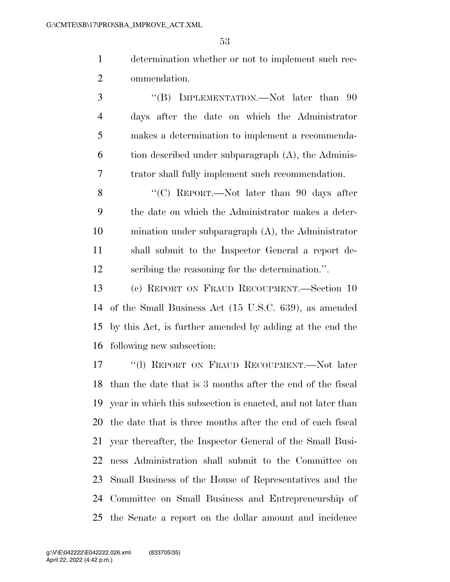determination whether or not to implement such rec-ommendation.

3 "(B) IMPLEMENTATION.—Not later than 90 days after the date on which the Administrator makes a determination to implement a recommenda- tion described under subparagraph  $(A)$ , the Adminis- trator shall fully implement such recommendation. 8 "(C) REPORT.—Not later than 90 days after the date on which the Administrator makes a deter- mination under subparagraph (A), the Administrator shall submit to the Inspector General a report de-scribing the reasoning for the determination.''.

 (c) REPORT ON FRAUD RECOUPMENT.—Section 10 of the Small Business Act (15 U.S.C. 639), as amended by this Act, is further amended by adding at the end the following new subsection:

 ''(l) REPORT ON FRAUD RECOUPMENT.—Not later than the date that is 3 months after the end of the fiscal year in which this subsection is enacted, and not later than the date that is three months after the end of each fiscal year thereafter, the Inspector General of the Small Busi- ness Administration shall submit to the Committee on Small Business of the House of Representatives and the Committee on Small Business and Entrepreneurship of the Senate a report on the dollar amount and incidence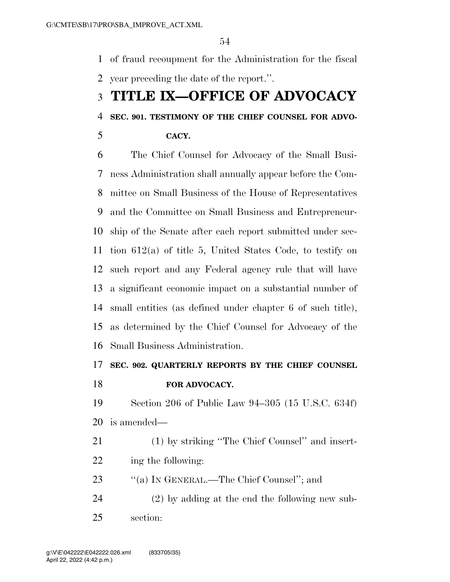of fraud recoupment for the Administration for the fiscal year preceding the date of the report.''.

# **TITLE IX—OFFICE OF ADVOCACY**

## **SEC. 901. TESTIMONY OF THE CHIEF COUNSEL FOR ADVO-**

**CACY.** 

 The Chief Counsel for Advocacy of the Small Busi- ness Administration shall annually appear before the Com- mittee on Small Business of the House of Representatives and the Committee on Small Business and Entrepreneur- ship of the Senate after each report submitted under sec- tion 612(a) of title 5, United States Code, to testify on such report and any Federal agency rule that will have a significant economic impact on a substantial number of small entities (as defined under chapter 6 of such title), as determined by the Chief Counsel for Advocacy of the Small Business Administration.

# **SEC. 902. QUARTERLY REPORTS BY THE CHIEF COUNSEL**

**FOR ADVOCACY.** 

 Section 206 of Public Law 94–305 (15 U.S.C. 634f) is amended—

 (1) by striking ''The Chief Counsel'' and insert-ing the following:

23 "(a) IN GENERAL.—The Chief Counsel"; and

 (2) by adding at the end the following new sub-section: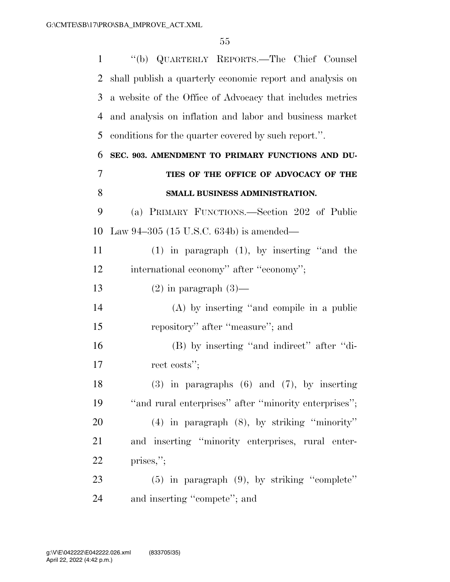| 1  | "(b) QUARTERLY REPORTS.—The Chief Counsel                 |
|----|-----------------------------------------------------------|
| 2  | shall publish a quarterly economic report and analysis on |
| 3  | a website of the Office of Advocacy that includes metrics |
| 4  | and analysis on inflation and labor and business market   |
| 5  | conditions for the quarter covered by such report.".      |
| 6  | SEC. 903. AMENDMENT TO PRIMARY FUNCTIONS AND DU-          |
| 7  | TIES OF THE OFFICE OF ADVOCACY OF THE                     |
| 8  | SMALL BUSINESS ADMINISTRATION.                            |
| 9  | (a) PRIMARY FUNCTIONS.—Section 202 of Public              |
| 10 | Law $94-305$ (15 U.S.C. 634b) is amended—                 |
| 11 | $(1)$ in paragraph $(1)$ , by inserting "and the          |
| 12 | international economy" after "economy";                   |
| 13 | $(2)$ in paragraph $(3)$ —                                |
| 14 | $(A)$ by inserting "and compile in a public               |
| 15 | repository" after "measure"; and                          |
| 16 | (B) by inserting "and indirect" after "di-                |
| 17 | rect costs";                                              |
| 18 | $(3)$ in paragraphs $(6)$ and $(7)$ , by inserting        |
| 19 | "and rural enterprises" after "minority enterprises";     |
| 20 | $(4)$ in paragraph $(8)$ , by striking "minority"         |
| 21 | and inserting "minority enterprises, rural enter-         |
| 22 | prises,";                                                 |
| 23 | $(5)$ in paragraph $(9)$ , by striking "complete"         |
| 24 | and inserting "compete"; and                              |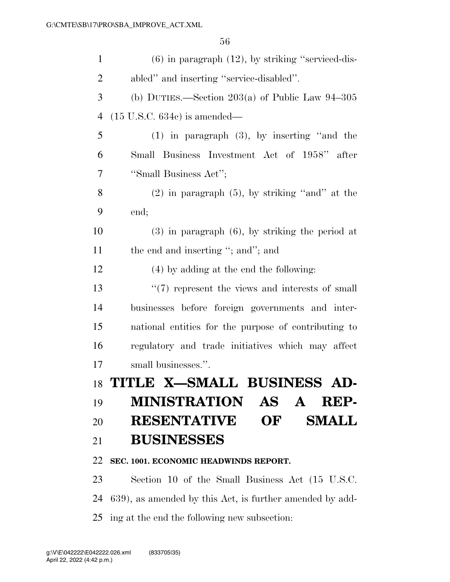| $\mathbf{1}$   | $(6)$ in paragraph $(12)$ , by striking "serviced-dis-   |
|----------------|----------------------------------------------------------|
| $\overline{c}$ | abled" and inserting "service-disabled".                 |
| 3              | (b) DUTIES.—Section $203(a)$ of Public Law $94-305$      |
| 4              | $(15 \text{ U.S.C. } 634e)$ is amended—                  |
| 5              | $(1)$ in paragraph $(3)$ , by inserting "and the         |
| 6              | Small Business Investment Act of 1958" after             |
| 7              | "Small Business Act";                                    |
| 8              | $(2)$ in paragraph $(5)$ , by striking "and" at the      |
| 9              | end;                                                     |
| 10             | $(3)$ in paragraph $(6)$ , by striking the period at     |
| 11             | the end and inserting "; and"; and                       |
| 12             | (4) by adding at the end the following:                  |
| 13             | $\lq(7)$ represent the views and interests of small      |
| 14             | businesses before foreign governments and inter-         |
| 15             | national entities for the purpose of contributing to     |
| 16             | regulatory and trade initiatives which may affect        |
| 17             | small businesses.".                                      |
| 18             | TITLE X-SMALL BUSINESS AD-                               |
| 19             | <b>MINISTRATION</b><br>AS A<br>REP-                      |
| 20             | <b>RESENTATIVE</b><br>OF<br><b>SMALL</b>                 |
| 21             | <b>BUSINESSES</b>                                        |
| 22             | SEC. 1001. ECONOMIC HEADWINDS REPORT.                    |
| 23             | Section 10 of the Small Business Act (15 U.S.C.          |
| 24             | 639), as amended by this Act, is further amended by add- |
| 25             | ing at the end the following new subsection:             |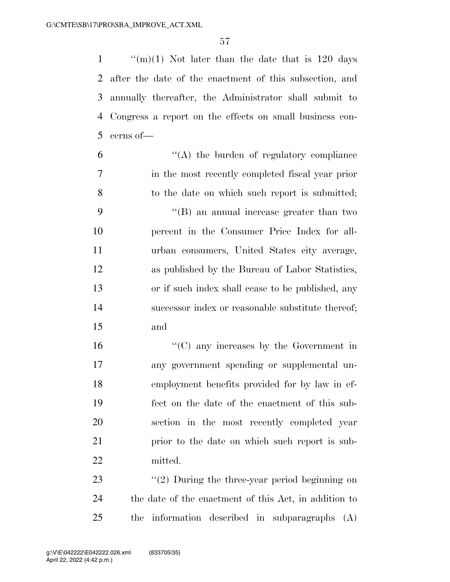$\frac{1}{20}$  (m)(1) Not later than the date that is 120 days after the date of the enactment of this subsection, and annually thereafter, the Administrator shall submit to Congress a report on the effects on small business con-cerns of—

 $(4)$  the burden of regulatory compliance in the most recently completed fiscal year prior to the date on which such report is submitted; ''(B) an annual increase greater than two percent in the Consumer Price Index for all- urban consumers, United States city average, as published by the Bureau of Labor Statistics, or if such index shall cease to be published, any successor index or reasonable substitute thereof; and

 ''(C) any increases by the Government in any government spending or supplemental un- employment benefits provided for by law in ef- fect on the date of the enactment of this sub- section in the most recently completed year prior to the date on which such report is sub-mitted.

23 ''(2) During the three-year period beginning on the date of the enactment of this Act, in addition to the information described in subparagraphs (A)